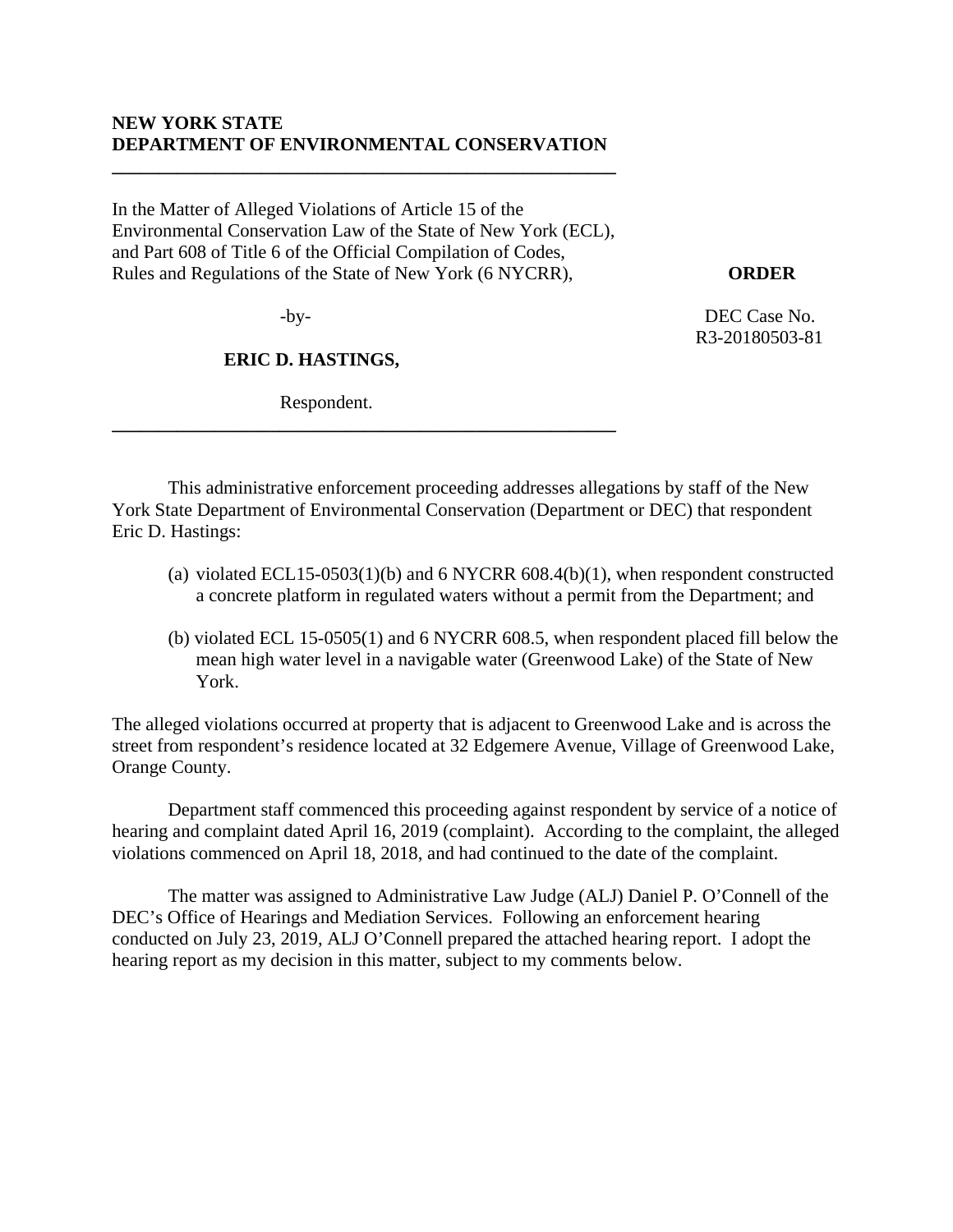## **NEW YORK STATE DEPARTMENT OF ENVIRONMENTAL CONSERVATION**

**\_\_\_\_\_\_\_\_\_\_\_\_\_\_\_\_\_\_\_\_\_\_\_\_\_\_\_\_\_\_\_\_\_\_\_\_\_\_\_\_\_\_\_\_\_\_\_\_\_\_\_\_\_\_** 

In the Matter of Alleged Violations of Article 15 of the Environmental Conservation Law of the State of New York (ECL), and Part 608 of Title 6 of the Official Compilation of Codes, Rules and Regulations of the State of New York (6 NYCRR), **ORDER** 

**\_\_\_\_\_\_\_\_\_\_\_\_\_\_\_\_\_\_\_\_\_\_\_\_\_\_\_\_\_\_\_\_\_\_\_\_\_\_\_\_\_\_\_\_\_\_\_\_\_\_\_\_\_\_** 

### **ERIC D. HASTINGS,**

Respondent.

-by- DEC Case No. R3-20180503-81

This administrative enforcement proceeding addresses allegations by staff of the New York State Department of Environmental Conservation (Department or DEC) that respondent Eric D. Hastings:

- (a) violated ECL15-0503(1)(b) and  $6$  NYCRR  $608.4(b)(1)$ , when respondent constructed a concrete platform in regulated waters without a permit from the Department; and
- (b) violated ECL 15-0505(1) and 6 NYCRR 608.5, when respondent placed fill below the mean high water level in a navigable water (Greenwood Lake) of the State of New York.

The alleged violations occurred at property that is adjacent to Greenwood Lake and is across the street from respondent's residence located at 32 Edgemere Avenue, Village of Greenwood Lake, Orange County.

Department staff commenced this proceeding against respondent by service of a notice of hearing and complaint dated April 16, 2019 (complaint). According to the complaint, the alleged violations commenced on April 18, 2018, and had continued to the date of the complaint.

The matter was assigned to Administrative Law Judge (ALJ) Daniel P. O'Connell of the DEC's Office of Hearings and Mediation Services. Following an enforcement hearing conducted on July 23, 2019, ALJ O'Connell prepared the attached hearing report. I adopt the hearing report as my decision in this matter, subject to my comments below.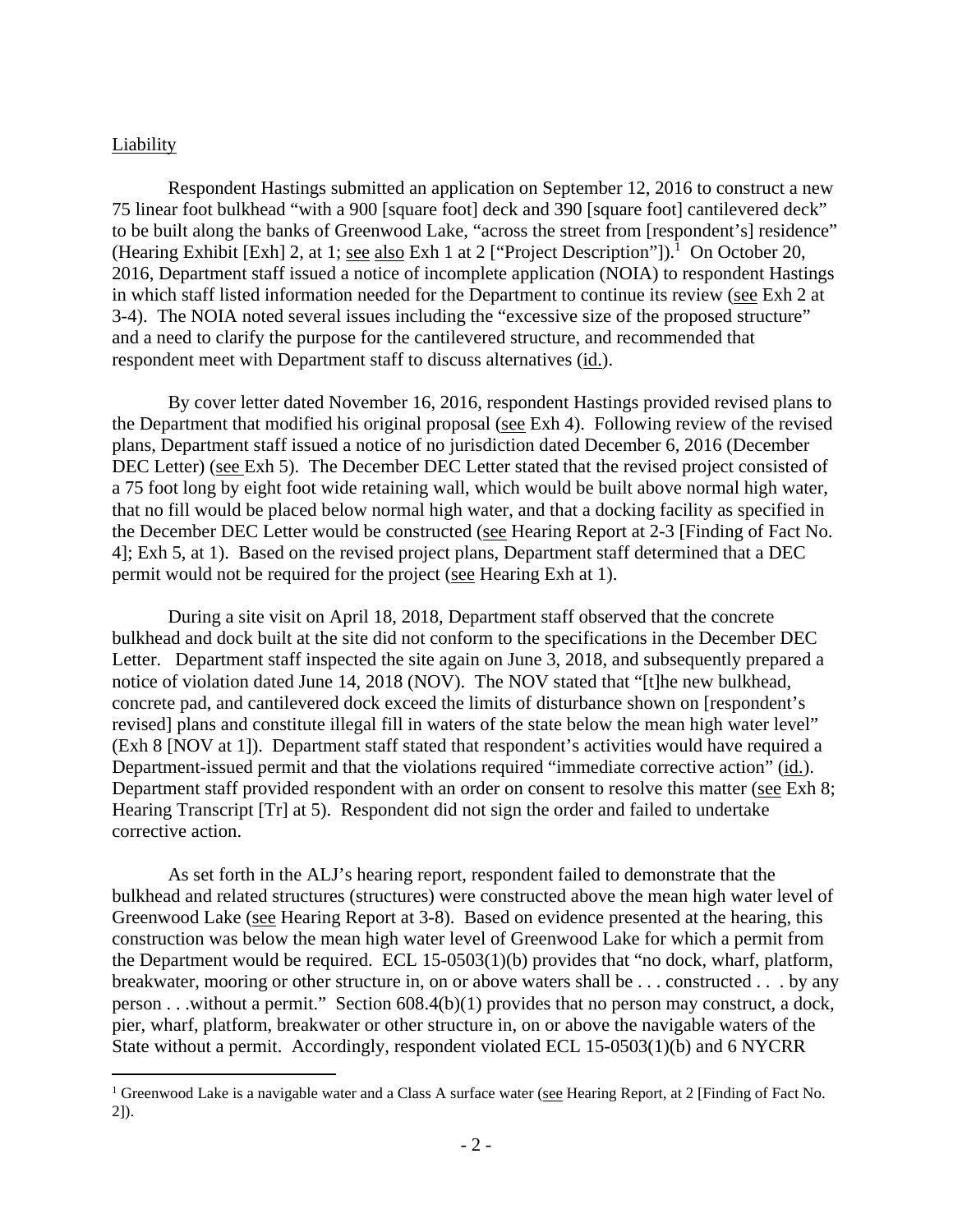#### Liability

Respondent Hastings submitted an application on September 12, 2016 to construct a new 75 linear foot bulkhead "with a 900 [square foot] deck and 390 [square foot] cantilevered deck" to be built along the banks of Greenwood Lake, "across the street from [respondent's] residence" (Hearing Exhibit [Exh] 2, at 1; see also Exh 1 at 2 ["Project Description"]).<sup>1</sup> On October 20, 2016, Department staff issued a notice of incomplete application (NOIA) to respondent Hastings in which staff listed information needed for the Department to continue its review (see Exh 2 at 3-4). The NOIA noted several issues including the "excessive size of the proposed structure" and a need to clarify the purpose for the cantilevered structure, and recommended that respondent meet with Department staff to discuss alternatives (id.).

By cover letter dated November 16, 2016, respondent Hastings provided revised plans to the Department that modified his original proposal (see Exh 4). Following review of the revised plans, Department staff issued a notice of no jurisdiction dated December 6, 2016 (December DEC Letter) (see Exh 5). The December DEC Letter stated that the revised project consisted of a 75 foot long by eight foot wide retaining wall, which would be built above normal high water, that no fill would be placed below normal high water, and that a docking facility as specified in the December DEC Letter would be constructed (see Hearing Report at 2-3 [Finding of Fact No. 4]; Exh 5, at 1). Based on the revised project plans, Department staff determined that a DEC permit would not be required for the project (see Hearing Exh at 1).

During a site visit on April 18, 2018, Department staff observed that the concrete bulkhead and dock built at the site did not conform to the specifications in the December DEC Letter. Department staff inspected the site again on June 3, 2018, and subsequently prepared a notice of violation dated June 14, 2018 (NOV). The NOV stated that "[t]he new bulkhead, concrete pad, and cantilevered dock exceed the limits of disturbance shown on [respondent's revised] plans and constitute illegal fill in waters of the state below the mean high water level" (Exh 8 [NOV at 1]). Department staff stated that respondent's activities would have required a Department-issued permit and that the violations required "immediate corrective action" (id.). Department staff provided respondent with an order on consent to resolve this matter (see Exh 8; Hearing Transcript [Tr] at 5). Respondent did not sign the order and failed to undertake corrective action.

As set forth in the ALJ's hearing report, respondent failed to demonstrate that the bulkhead and related structures (structures) were constructed above the mean high water level of Greenwood Lake (see Hearing Report at 3-8). Based on evidence presented at the hearing, this construction was below the mean high water level of Greenwood Lake for which a permit from the Department would be required. ECL 15-0503(1)(b) provides that "no dock, wharf, platform, breakwater, mooring or other structure in, on or above waters shall be . . . constructed . . . by any person . . .without a permit." Section 608.4(b)(1) provides that no person may construct, a dock, pier, wharf, platform, breakwater or other structure in, on or above the navigable waters of the State without a permit. Accordingly, respondent violated ECL 15-0503(1)(b) and 6 NYCRR

<sup>&</sup>lt;sup>1</sup> Greenwood Lake is a navigable water and a Class A surface water (see Hearing Report, at 2 [Finding of Fact No. 2]).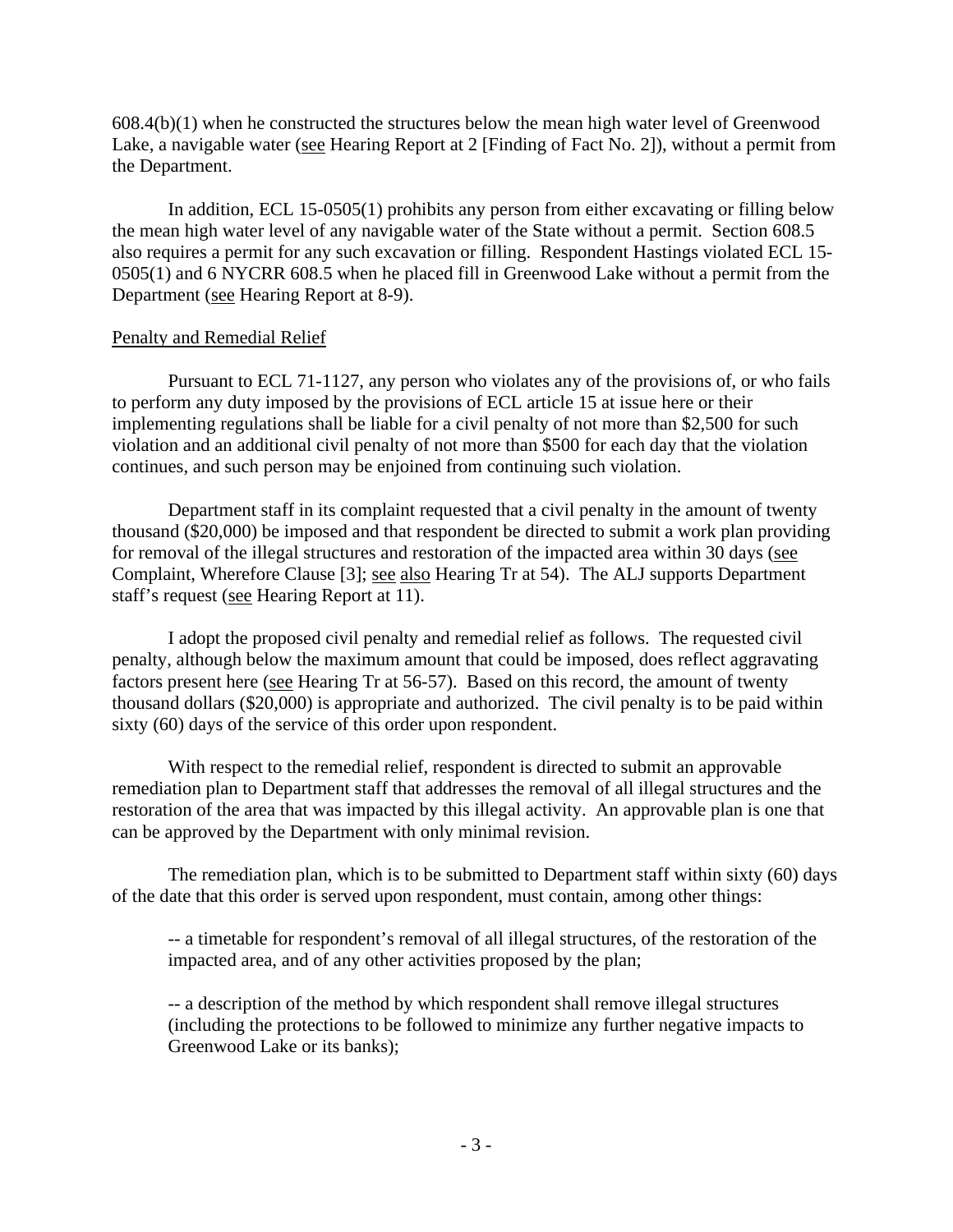$608.4(b)(1)$  when he constructed the structures below the mean high water level of Greenwood Lake, a navigable water (see Hearing Report at 2 [Finding of Fact No. 2]), without a permit from the Department.

In addition, ECL 15-0505(1) prohibits any person from either excavating or filling below the mean high water level of any navigable water of the State without a permit. Section 608.5 also requires a permit for any such excavation or filling. Respondent Hastings violated ECL 15- 0505(1) and 6 NYCRR 608.5 when he placed fill in Greenwood Lake without a permit from the Department (see Hearing Report at 8-9).

### Penalty and Remedial Relief

 Pursuant to ECL 71-1127, any person who violates any of the provisions of, or who fails to perform any duty imposed by the provisions of ECL article 15 at issue here or their implementing regulations shall be liable for a civil penalty of not more than \$2,500 for such violation and an additional civil penalty of not more than \$500 for each day that the violation continues, and such person may be enjoined from continuing such violation.

Department staff in its complaint requested that a civil penalty in the amount of twenty thousand (\$20,000) be imposed and that respondent be directed to submit a work plan providing for removal of the illegal structures and restoration of the impacted area within 30 days (see Complaint, Wherefore Clause [3]; see also Hearing Tr at 54). The ALJ supports Department staff's request (see Hearing Report at 11).

I adopt the proposed civil penalty and remedial relief as follows. The requested civil penalty, although below the maximum amount that could be imposed, does reflect aggravating factors present here (see Hearing Tr at 56-57). Based on this record, the amount of twenty thousand dollars (\$20,000) is appropriate and authorized. The civil penalty is to be paid within sixty (60) days of the service of this order upon respondent.

With respect to the remedial relief, respondent is directed to submit an approvable remediation plan to Department staff that addresses the removal of all illegal structures and the restoration of the area that was impacted by this illegal activity. An approvable plan is one that can be approved by the Department with only minimal revision.

The remediation plan, which is to be submitted to Department staff within sixty (60) days of the date that this order is served upon respondent, must contain, among other things:

-- a timetable for respondent's removal of all illegal structures, of the restoration of the impacted area, and of any other activities proposed by the plan;

-- a description of the method by which respondent shall remove illegal structures (including the protections to be followed to minimize any further negative impacts to Greenwood Lake or its banks);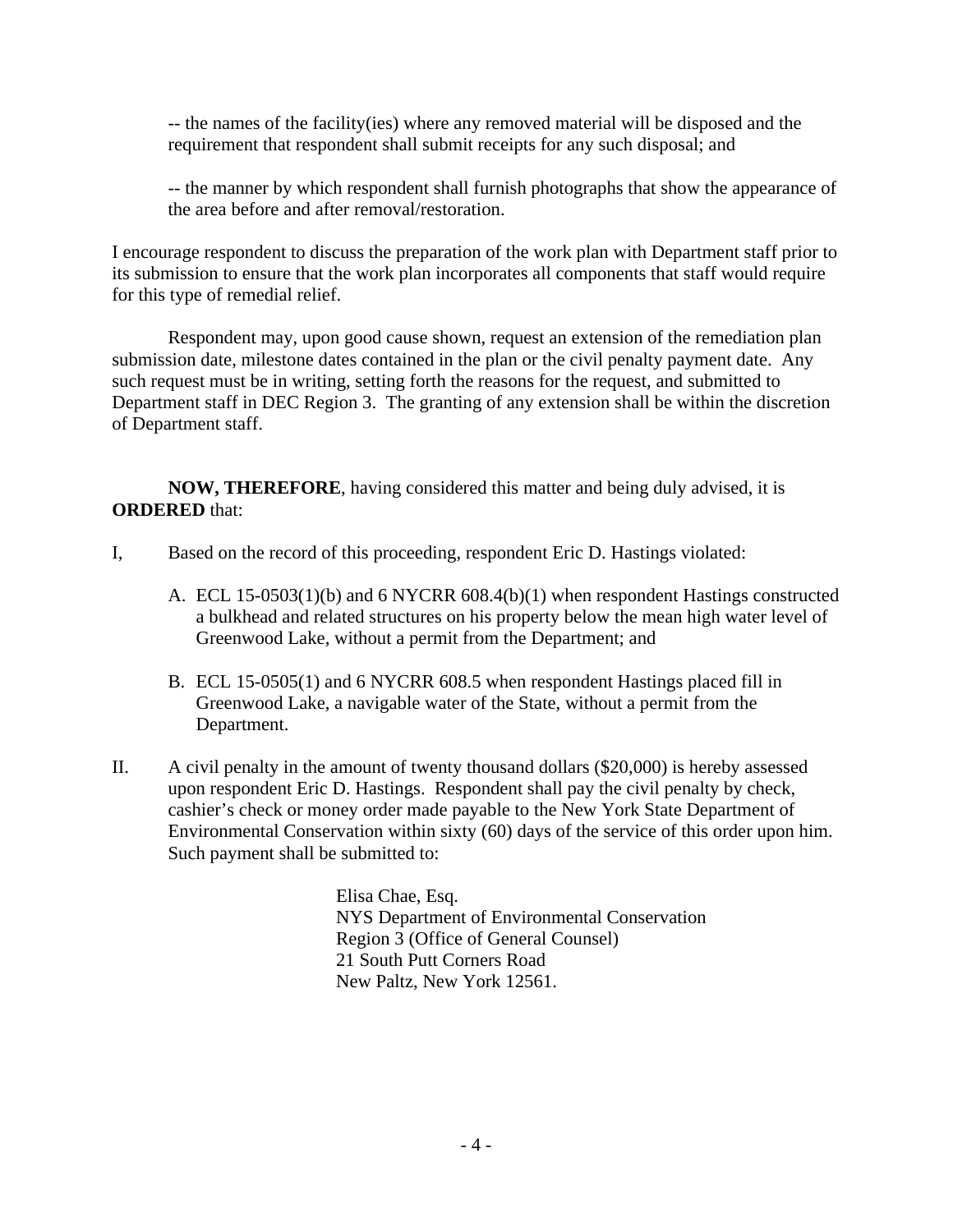-- the names of the facility(ies) where any removed material will be disposed and the requirement that respondent shall submit receipts for any such disposal; and

-- the manner by which respondent shall furnish photographs that show the appearance of the area before and after removal/restoration.

I encourage respondent to discuss the preparation of the work plan with Department staff prior to its submission to ensure that the work plan incorporates all components that staff would require for this type of remedial relief.

Respondent may, upon good cause shown, request an extension of the remediation plan submission date, milestone dates contained in the plan or the civil penalty payment date. Any such request must be in writing, setting forth the reasons for the request, and submitted to Department staff in DEC Region 3. The granting of any extension shall be within the discretion of Department staff.

**NOW, THEREFORE**, having considered this matter and being duly advised, it is **ORDERED** that:

- I, Based on the record of this proceeding, respondent Eric D. Hastings violated:
	- A. ECL 15-0503(1)(b) and 6 NYCRR 608.4(b)(1) when respondent Hastings constructed a bulkhead and related structures on his property below the mean high water level of Greenwood Lake, without a permit from the Department; and
	- B. ECL 15-0505(1) and 6 NYCRR 608.5 when respondent Hastings placed fill in Greenwood Lake, a navigable water of the State, without a permit from the Department.
- II. A civil penalty in the amount of twenty thousand dollars (\$20,000) is hereby assessed upon respondent Eric D. Hastings. Respondent shall pay the civil penalty by check, cashier's check or money order made payable to the New York State Department of Environmental Conservation within sixty (60) days of the service of this order upon him. Such payment shall be submitted to:

Elisa Chae, Esq. NYS Department of Environmental Conservation Region 3 (Office of General Counsel) 21 South Putt Corners Road New Paltz, New York 12561.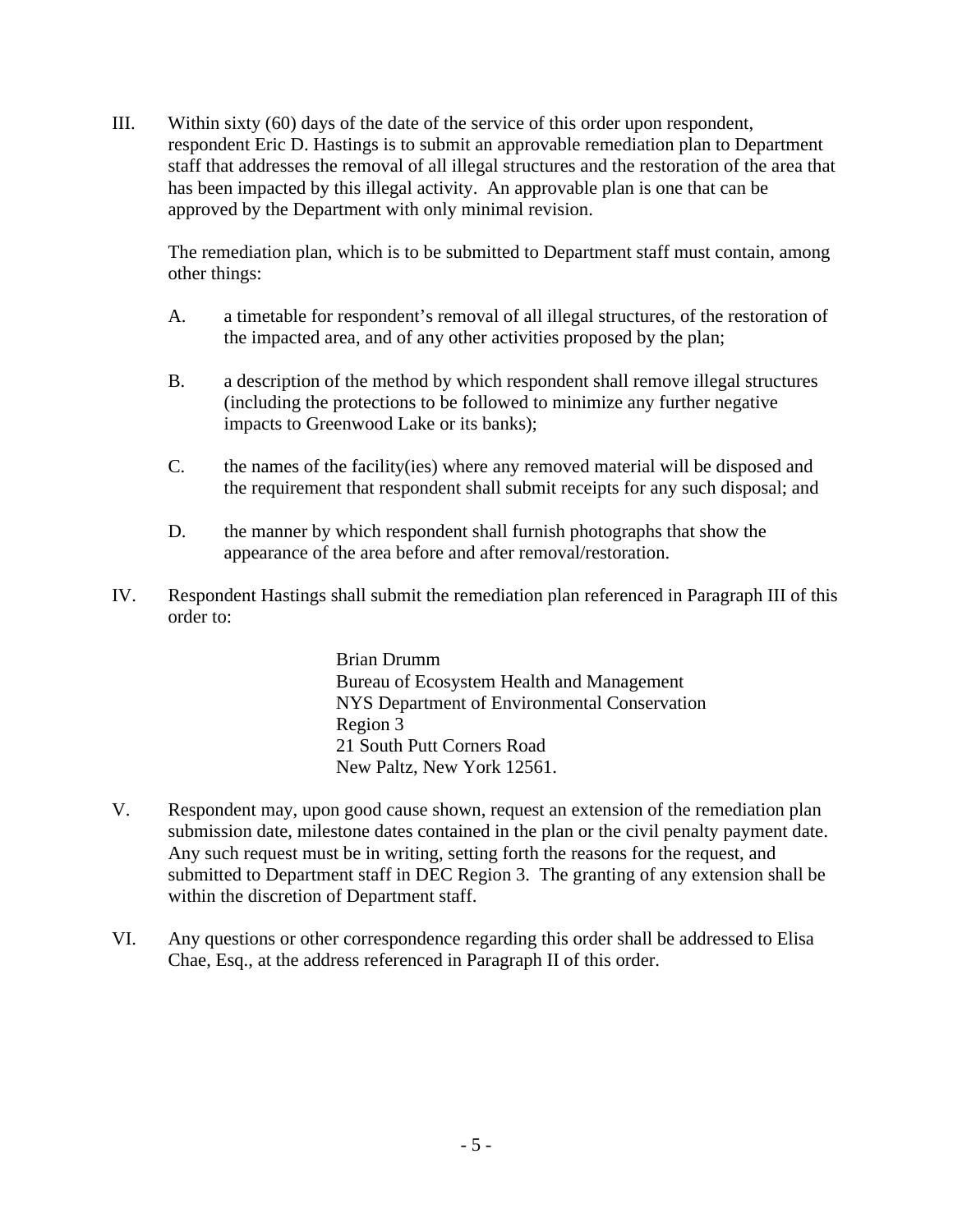III. Within sixty (60) days of the date of the service of this order upon respondent, respondent Eric D. Hastings is to submit an approvable remediation plan to Department staff that addresses the removal of all illegal structures and the restoration of the area that has been impacted by this illegal activity. An approvable plan is one that can be approved by the Department with only minimal revision.

The remediation plan, which is to be submitted to Department staff must contain, among other things:

- A. a timetable for respondent's removal of all illegal structures, of the restoration of the impacted area, and of any other activities proposed by the plan;
- B. a description of the method by which respondent shall remove illegal structures (including the protections to be followed to minimize any further negative impacts to Greenwood Lake or its banks);
- C. the names of the facility(ies) where any removed material will be disposed and the requirement that respondent shall submit receipts for any such disposal; and
- D. the manner by which respondent shall furnish photographs that show the appearance of the area before and after removal/restoration.
- IV. Respondent Hastings shall submit the remediation plan referenced in Paragraph III of this order to:

Brian Drumm Bureau of Ecosystem Health and Management NYS Department of Environmental Conservation Region 3 21 South Putt Corners Road New Paltz, New York 12561.

- V. Respondent may, upon good cause shown, request an extension of the remediation plan submission date, milestone dates contained in the plan or the civil penalty payment date. Any such request must be in writing, setting forth the reasons for the request, and submitted to Department staff in DEC Region 3. The granting of any extension shall be within the discretion of Department staff.
- VI. Any questions or other correspondence regarding this order shall be addressed to Elisa Chae, Esq., at the address referenced in Paragraph II of this order.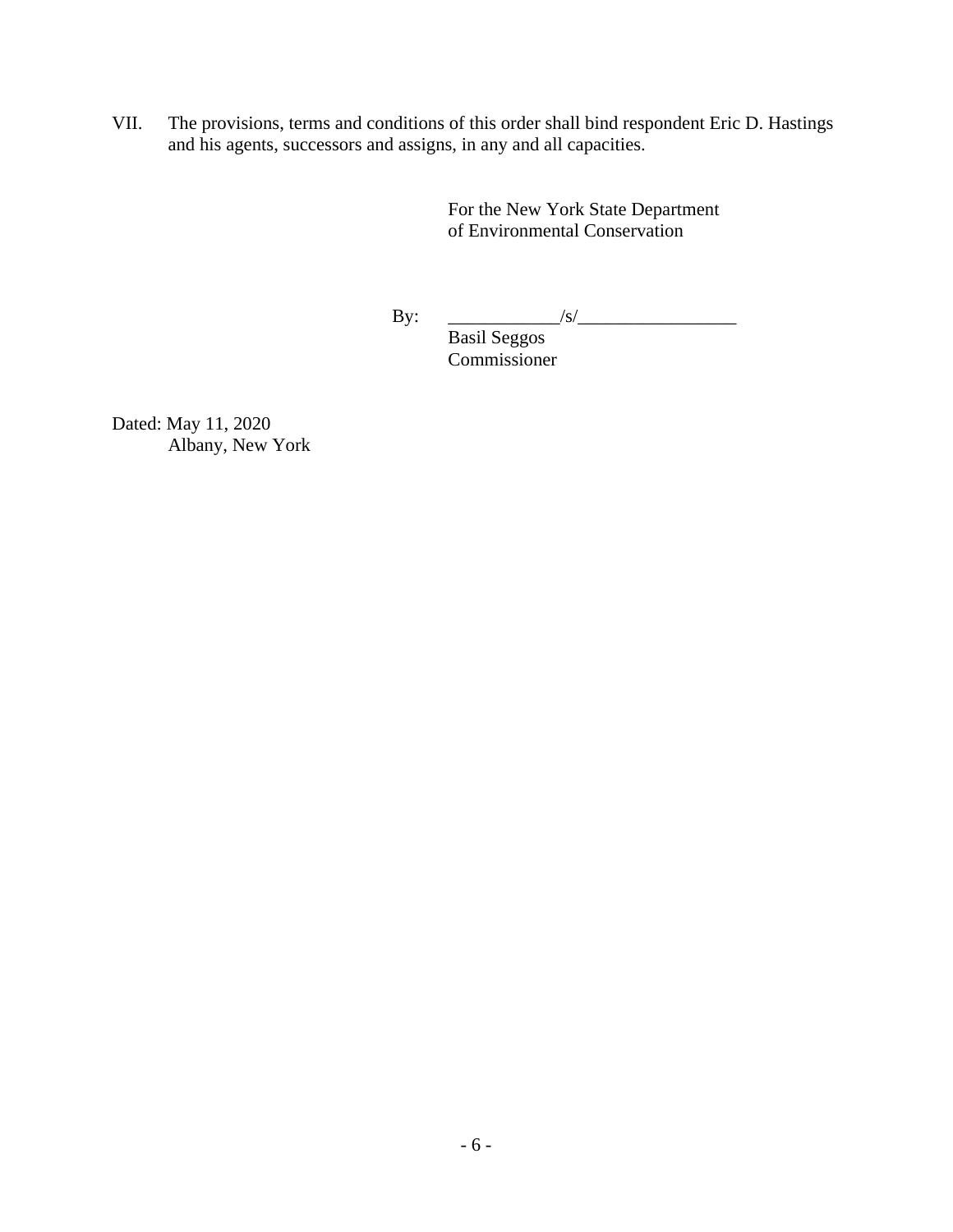VII. The provisions, terms and conditions of this order shall bind respondent Eric D. Hastings and his agents, successors and assigns, in any and all capacities.

> For the New York State Department of Environmental Conservation

 $\mathbf{By:} \quad \_/s/$ 

 Basil Seggos Commissioner

Dated: May 11, 2020 Albany, New York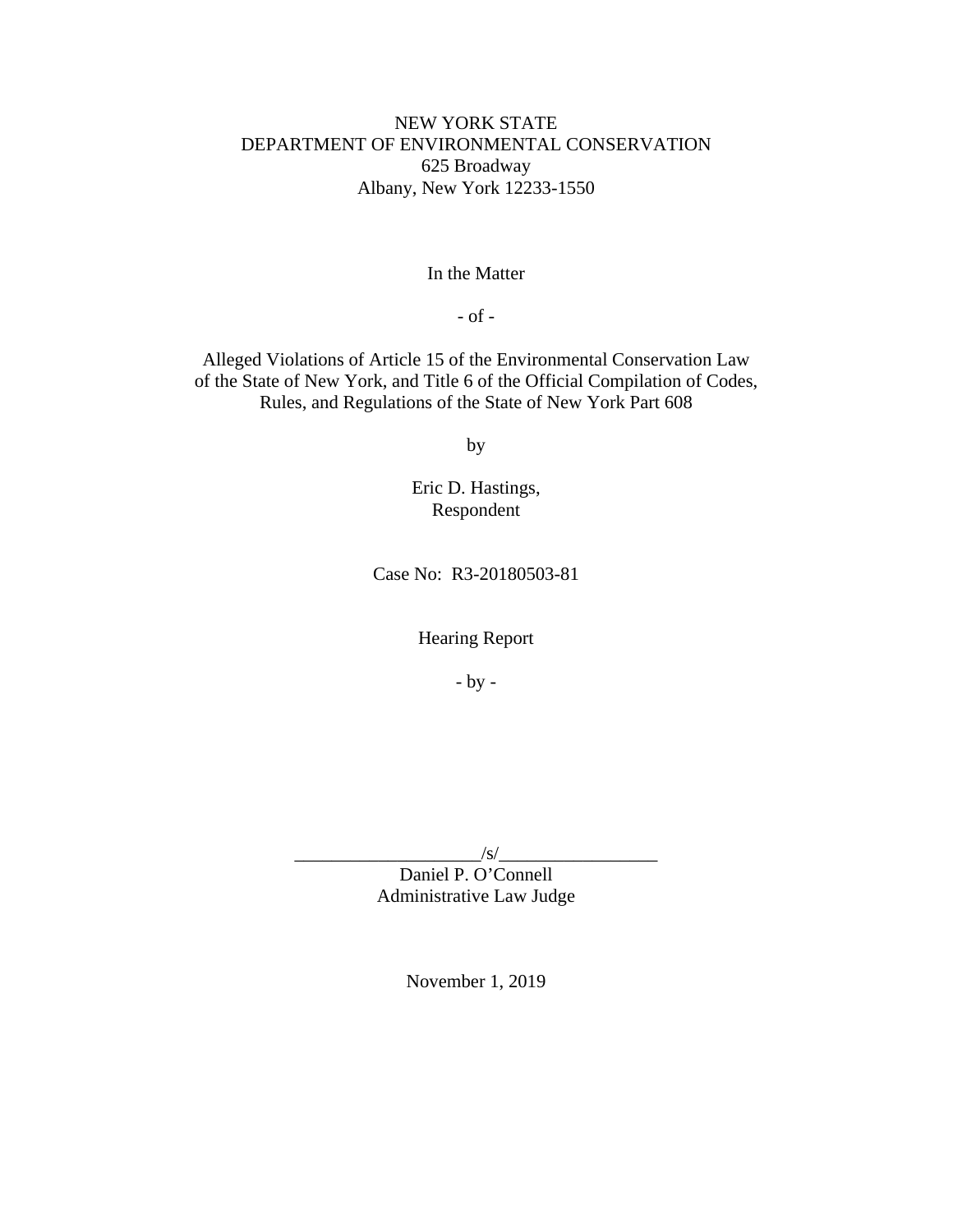# NEW YORK STATE DEPARTMENT OF ENVIRONMENTAL CONSERVATION 625 Broadway Albany, New York 12233-1550

In the Matter

- of -

Alleged Violations of Article 15 of the Environmental Conservation Law of the State of New York, and Title 6 of the Official Compilation of Codes, Rules, and Regulations of the State of New York Part 608

by

Eric D. Hastings, Respondent

Case No: R3-20180503-81

Hearing Report

- by -

 $/s/$ 

Daniel P. O'Connell Administrative Law Judge

November 1, 2019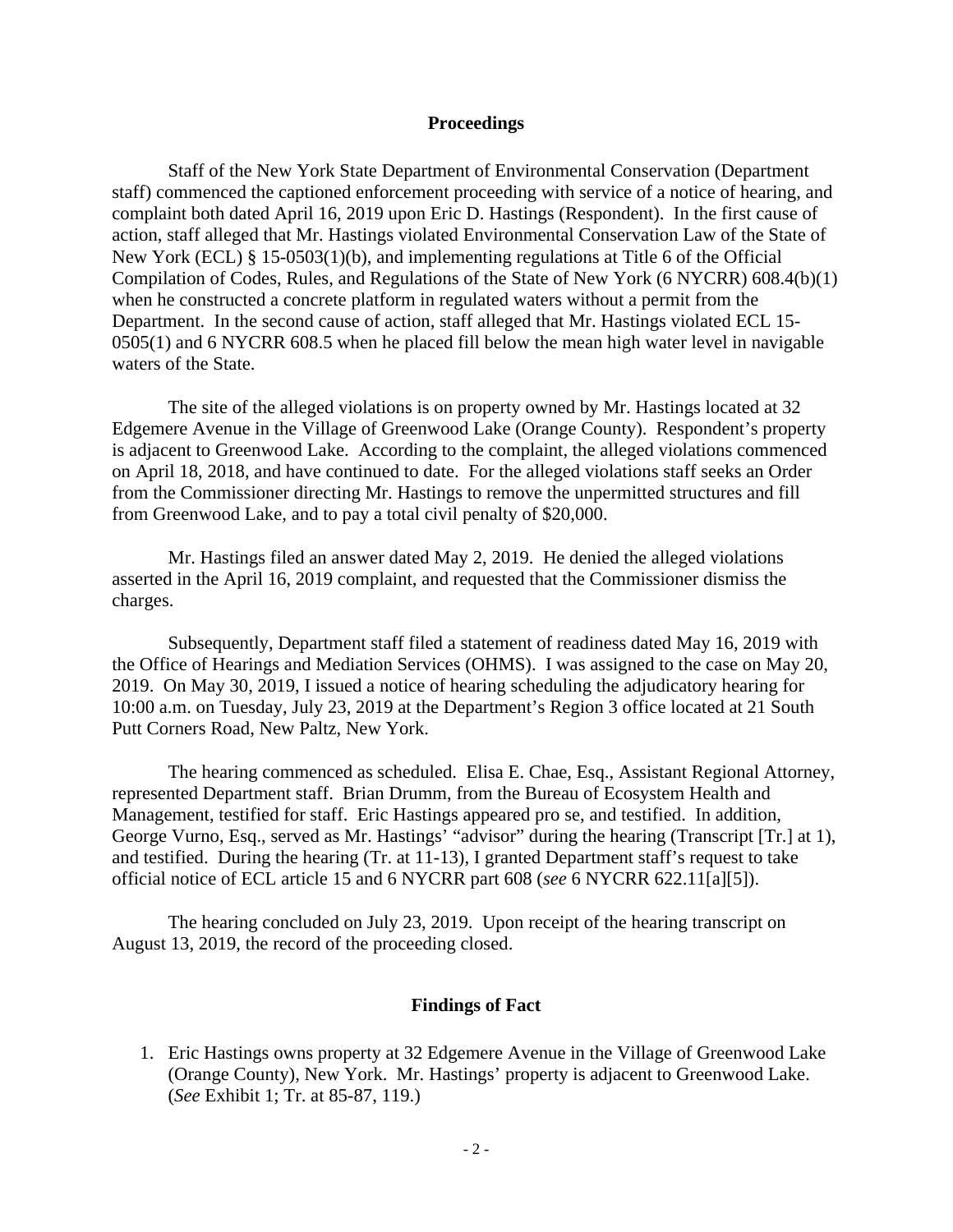#### **Proceedings**

 Staff of the New York State Department of Environmental Conservation (Department staff) commenced the captioned enforcement proceeding with service of a notice of hearing, and complaint both dated April 16, 2019 upon Eric D. Hastings (Respondent). In the first cause of action, staff alleged that Mr. Hastings violated Environmental Conservation Law of the State of New York (ECL) § 15-0503(1)(b), and implementing regulations at Title 6 of the Official Compilation of Codes, Rules, and Regulations of the State of New York (6 NYCRR) 608.4(b)(1) when he constructed a concrete platform in regulated waters without a permit from the Department. In the second cause of action, staff alleged that Mr. Hastings violated ECL 15- 0505(1) and 6 NYCRR 608.5 when he placed fill below the mean high water level in navigable waters of the State.

 The site of the alleged violations is on property owned by Mr. Hastings located at 32 Edgemere Avenue in the Village of Greenwood Lake (Orange County). Respondent's property is adjacent to Greenwood Lake. According to the complaint, the alleged violations commenced on April 18, 2018, and have continued to date. For the alleged violations staff seeks an Order from the Commissioner directing Mr. Hastings to remove the unpermitted structures and fill from Greenwood Lake, and to pay a total civil penalty of \$20,000.

 Mr. Hastings filed an answer dated May 2, 2019. He denied the alleged violations asserted in the April 16, 2019 complaint, and requested that the Commissioner dismiss the charges.

 Subsequently, Department staff filed a statement of readiness dated May 16, 2019 with the Office of Hearings and Mediation Services (OHMS). I was assigned to the case on May 20, 2019. On May 30, 2019, I issued a notice of hearing scheduling the adjudicatory hearing for 10:00 a.m. on Tuesday, July 23, 2019 at the Department's Region 3 office located at 21 South Putt Corners Road, New Paltz, New York.

 The hearing commenced as scheduled. Elisa E. Chae, Esq., Assistant Regional Attorney, represented Department staff. Brian Drumm, from the Bureau of Ecosystem Health and Management, testified for staff. Eric Hastings appeared pro se, and testified. In addition, George Vurno, Esq., served as Mr. Hastings' "advisor" during the hearing (Transcript [Tr.] at 1), and testified. During the hearing (Tr. at 11-13), I granted Department staff's request to take official notice of ECL article 15 and 6 NYCRR part 608 (*see* 6 NYCRR 622.11[a][5]).

 The hearing concluded on July 23, 2019. Upon receipt of the hearing transcript on August 13, 2019, the record of the proceeding closed.

#### **Findings of Fact**

1. Eric Hastings owns property at 32 Edgemere Avenue in the Village of Greenwood Lake (Orange County), New York. Mr. Hastings' property is adjacent to Greenwood Lake. (*See* Exhibit 1; Tr. at 85-87, 119.)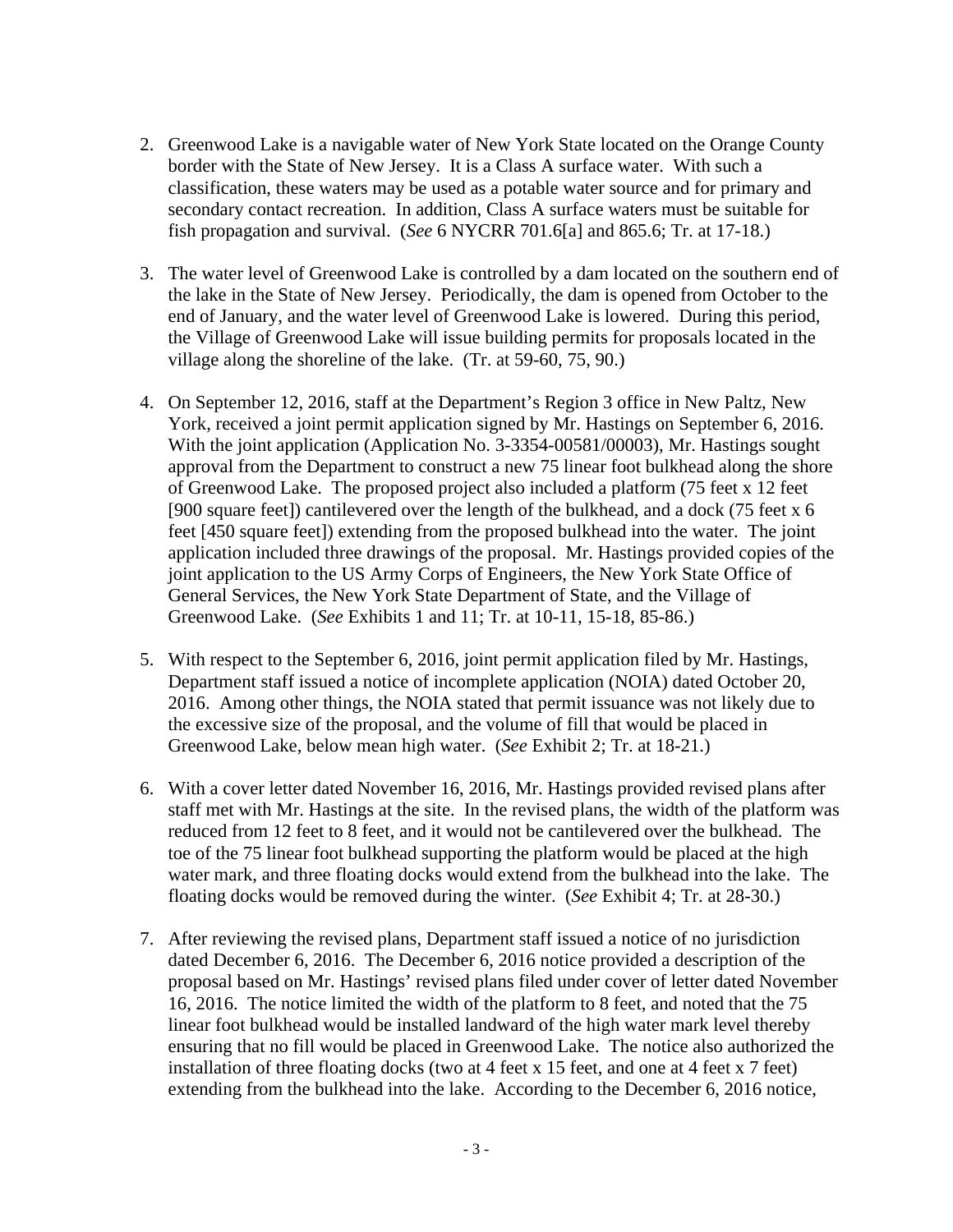- 2. Greenwood Lake is a navigable water of New York State located on the Orange County border with the State of New Jersey. It is a Class A surface water. With such a classification, these waters may be used as a potable water source and for primary and secondary contact recreation. In addition, Class A surface waters must be suitable for fish propagation and survival. (*See* 6 NYCRR 701.6[a] and 865.6; Tr. at 17-18.)
- 3. The water level of Greenwood Lake is controlled by a dam located on the southern end of the lake in the State of New Jersey. Periodically, the dam is opened from October to the end of January, and the water level of Greenwood Lake is lowered. During this period, the Village of Greenwood Lake will issue building permits for proposals located in the village along the shoreline of the lake. (Tr. at 59-60, 75, 90.)
- 4. On September 12, 2016, staff at the Department's Region 3 office in New Paltz, New York, received a joint permit application signed by Mr. Hastings on September 6, 2016. With the joint application (Application No. 3-3354-00581/00003), Mr. Hastings sought approval from the Department to construct a new 75 linear foot bulkhead along the shore of Greenwood Lake. The proposed project also included a platform (75 feet x 12 feet [900 square feet]) cantilevered over the length of the bulkhead, and a dock (75 feet x 6 feet [450 square feet]) extending from the proposed bulkhead into the water. The joint application included three drawings of the proposal. Mr. Hastings provided copies of the joint application to the US Army Corps of Engineers, the New York State Office of General Services, the New York State Department of State, and the Village of Greenwood Lake. (*See* Exhibits 1 and 11; Tr. at 10-11, 15-18, 85-86.)
- 5. With respect to the September 6, 2016, joint permit application filed by Mr. Hastings, Department staff issued a notice of incomplete application (NOIA) dated October 20, 2016. Among other things, the NOIA stated that permit issuance was not likely due to the excessive size of the proposal, and the volume of fill that would be placed in Greenwood Lake, below mean high water. (*See* Exhibit 2; Tr. at 18-21.)
- 6. With a cover letter dated November 16, 2016, Mr. Hastings provided revised plans after staff met with Mr. Hastings at the site. In the revised plans, the width of the platform was reduced from 12 feet to 8 feet, and it would not be cantilevered over the bulkhead. The toe of the 75 linear foot bulkhead supporting the platform would be placed at the high water mark, and three floating docks would extend from the bulkhead into the lake. The floating docks would be removed during the winter. (*See* Exhibit 4; Tr. at 28-30.)
- 7. After reviewing the revised plans, Department staff issued a notice of no jurisdiction dated December 6, 2016. The December 6, 2016 notice provided a description of the proposal based on Mr. Hastings' revised plans filed under cover of letter dated November 16, 2016. The notice limited the width of the platform to 8 feet, and noted that the 75 linear foot bulkhead would be installed landward of the high water mark level thereby ensuring that no fill would be placed in Greenwood Lake. The notice also authorized the installation of three floating docks (two at 4 feet x 15 feet, and one at 4 feet x 7 feet) extending from the bulkhead into the lake. According to the December 6, 2016 notice,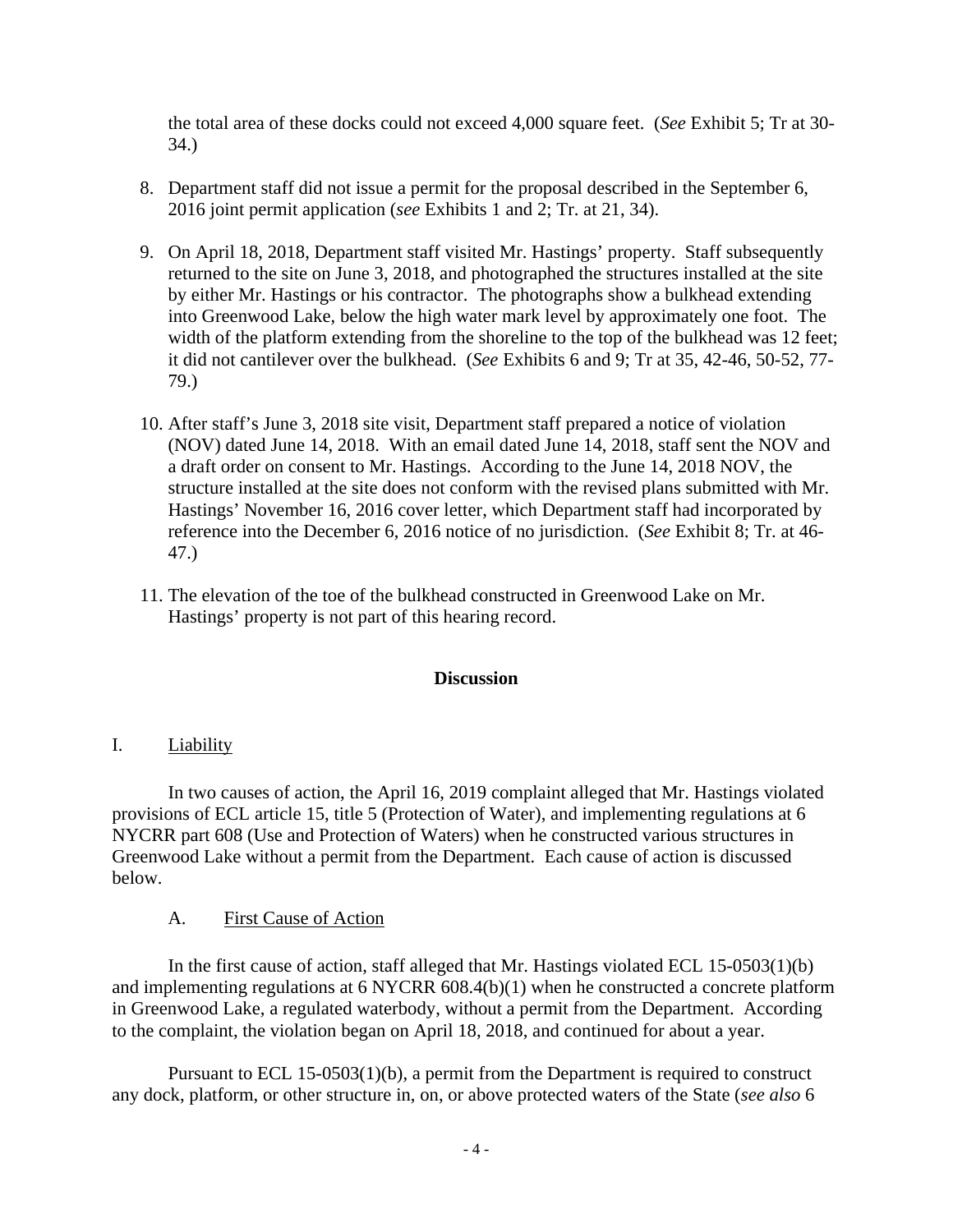the total area of these docks could not exceed 4,000 square feet. (*See* Exhibit 5; Tr at 30- 34.)

- 8. Department staff did not issue a permit for the proposal described in the September 6, 2016 joint permit application (*see* Exhibits 1 and 2; Tr. at 21, 34).
- 9. On April 18, 2018, Department staff visited Mr. Hastings' property. Staff subsequently returned to the site on June 3, 2018, and photographed the structures installed at the site by either Mr. Hastings or his contractor. The photographs show a bulkhead extending into Greenwood Lake, below the high water mark level by approximately one foot. The width of the platform extending from the shoreline to the top of the bulkhead was 12 feet; it did not cantilever over the bulkhead. (*See* Exhibits 6 and 9; Tr at 35, 42-46, 50-52, 77- 79.)
- 10. After staff's June 3, 2018 site visit, Department staff prepared a notice of violation (NOV) dated June 14, 2018. With an email dated June 14, 2018, staff sent the NOV and a draft order on consent to Mr. Hastings. According to the June 14, 2018 NOV, the structure installed at the site does not conform with the revised plans submitted with Mr. Hastings' November 16, 2016 cover letter, which Department staff had incorporated by reference into the December 6, 2016 notice of no jurisdiction. (*See* Exhibit 8; Tr. at 46- 47.)
- 11. The elevation of the toe of the bulkhead constructed in Greenwood Lake on Mr. Hastings' property is not part of this hearing record.

### **Discussion**

I. Liability

 In two causes of action, the April 16, 2019 complaint alleged that Mr. Hastings violated provisions of ECL article 15, title 5 (Protection of Water), and implementing regulations at 6 NYCRR part 608 (Use and Protection of Waters) when he constructed various structures in Greenwood Lake without a permit from the Department. Each cause of action is discussed below.

### A. First Cause of Action

 In the first cause of action, staff alleged that Mr. Hastings violated ECL 15-0503(1)(b) and implementing regulations at 6 NYCRR 608.4(b)(1) when he constructed a concrete platform in Greenwood Lake, a regulated waterbody, without a permit from the Department. According to the complaint, the violation began on April 18, 2018, and continued for about a year.

 Pursuant to ECL 15-0503(1)(b), a permit from the Department is required to construct any dock, platform, or other structure in, on, or above protected waters of the State (*see also* 6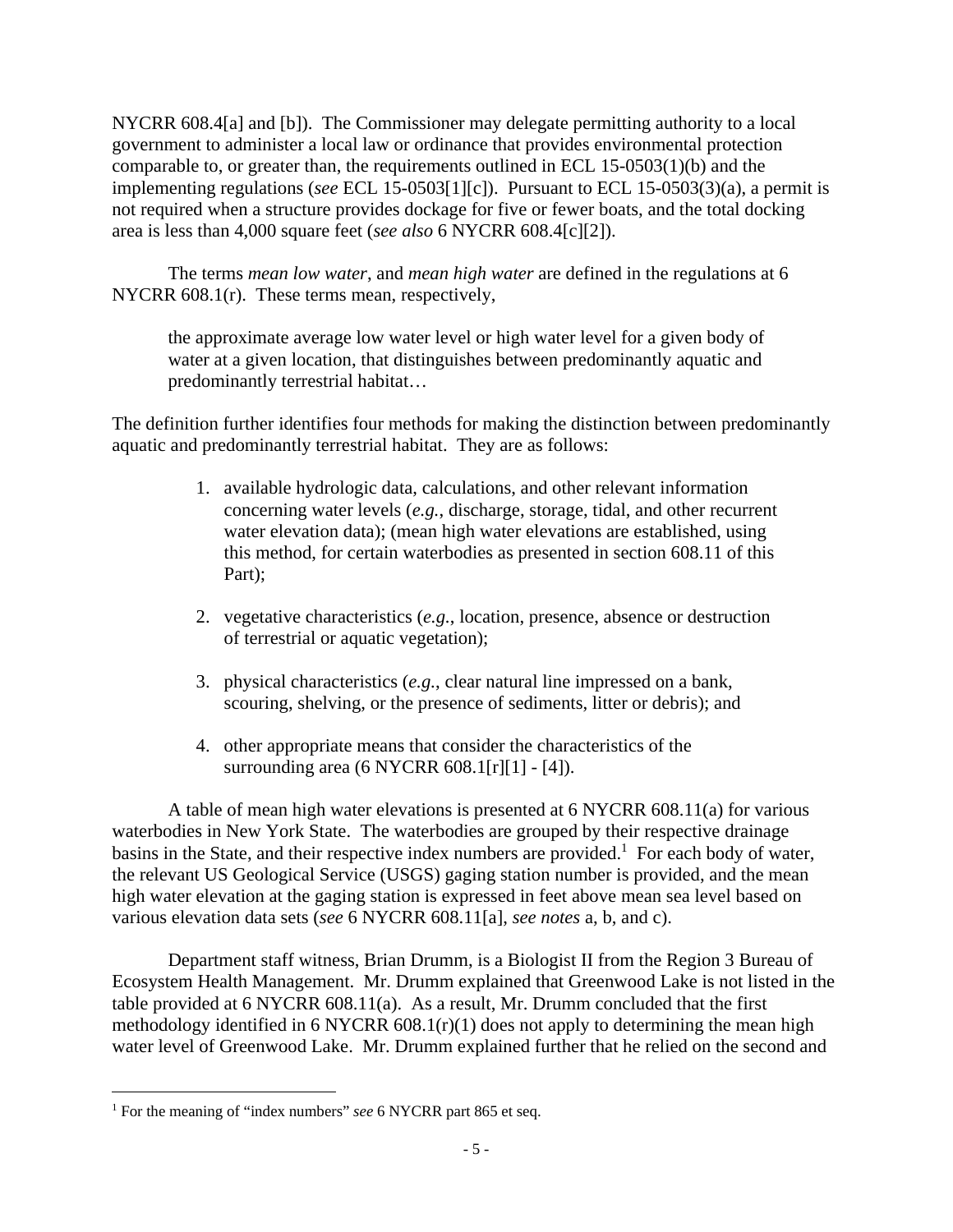NYCRR 608.4[a] and [b]). The Commissioner may delegate permitting authority to a local government to administer a local law or ordinance that provides environmental protection comparable to, or greater than, the requirements outlined in ECL 15-0503(1)(b) and the implementing regulations (*see* ECL 15-0503[1][c]). Pursuant to ECL 15-0503(3)(a), a permit is not required when a structure provides dockage for five or fewer boats, and the total docking area is less than 4,000 square feet (*see also* 6 NYCRR 608.4[c][2]).

 The terms *mean low water*, and *mean high water* are defined in the regulations at 6 NYCRR 608.1(r). These terms mean, respectively,

the approximate average low water level or high water level for a given body of water at a given location, that distinguishes between predominantly aquatic and predominantly terrestrial habitat…

The definition further identifies four methods for making the distinction between predominantly aquatic and predominantly terrestrial habitat. They are as follows:

- 1. available hydrologic data, calculations, and other relevant information concerning water levels (*e.g.*, discharge, storage, tidal, and other recurrent water elevation data); (mean high water elevations are established, using this method, for certain waterbodies as presented in section 608.11 of this Part);
- 2. vegetative characteristics (*e.g.*, location, presence, absence or destruction of terrestrial or aquatic vegetation);
- 3. physical characteristics (*e.g.*, clear natural line impressed on a bank, scouring, shelving, or the presence of sediments, litter or debris); and
- 4. other appropriate means that consider the characteristics of the surrounding area (6 NYCRR 608.1[r][1] - [4]).

 A table of mean high water elevations is presented at 6 NYCRR 608.11(a) for various waterbodies in New York State. The waterbodies are grouped by their respective drainage basins in the State, and their respective index numbers are provided.<sup>1</sup> For each body of water, the relevant US Geological Service (USGS) gaging station number is provided, and the mean high water elevation at the gaging station is expressed in feet above mean sea level based on various elevation data sets (*see* 6 NYCRR 608.11[a], *see notes* a, b, and c).

 Department staff witness, Brian Drumm, is a Biologist II from the Region 3 Bureau of Ecosystem Health Management. Mr. Drumm explained that Greenwood Lake is not listed in the table provided at 6 NYCRR 608.11(a). As a result, Mr. Drumm concluded that the first methodology identified in  $6$  NYCRR  $608.1(r)(1)$  does not apply to determining the mean high water level of Greenwood Lake. Mr. Drumm explained further that he relied on the second and

<sup>&</sup>lt;sup>1</sup> For the meaning of "index numbers" *see* 6 NYCRR part 865 et seq.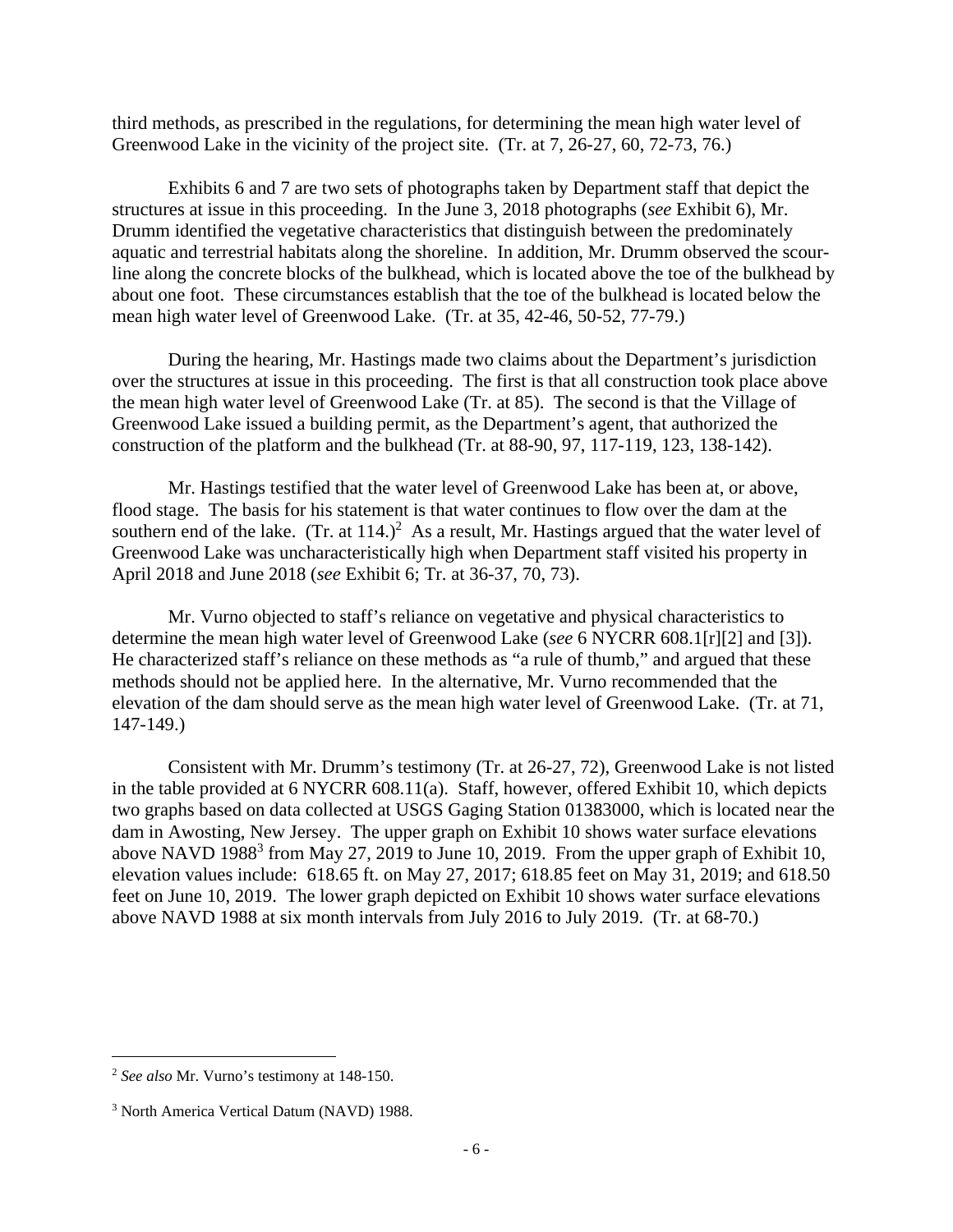third methods, as prescribed in the regulations, for determining the mean high water level of Greenwood Lake in the vicinity of the project site. (Tr. at 7, 26-27, 60, 72-73, 76.)

 Exhibits 6 and 7 are two sets of photographs taken by Department staff that depict the structures at issue in this proceeding. In the June 3, 2018 photographs (*see* Exhibit 6), Mr. Drumm identified the vegetative characteristics that distinguish between the predominately aquatic and terrestrial habitats along the shoreline. In addition, Mr. Drumm observed the scourline along the concrete blocks of the bulkhead, which is located above the toe of the bulkhead by about one foot. These circumstances establish that the toe of the bulkhead is located below the mean high water level of Greenwood Lake. (Tr. at 35, 42-46, 50-52, 77-79.)

 During the hearing, Mr. Hastings made two claims about the Department's jurisdiction over the structures at issue in this proceeding. The first is that all construction took place above the mean high water level of Greenwood Lake (Tr. at 85). The second is that the Village of Greenwood Lake issued a building permit, as the Department's agent, that authorized the construction of the platform and the bulkhead (Tr. at 88-90, 97, 117-119, 123, 138-142).

 Mr. Hastings testified that the water level of Greenwood Lake has been at, or above, flood stage. The basis for his statement is that water continues to flow over the dam at the southern end of the lake.  $(Tr. at 114.)^2$  As a result, Mr. Hastings argued that the water level of Greenwood Lake was uncharacteristically high when Department staff visited his property in April 2018 and June 2018 (*see* Exhibit 6; Tr. at 36-37, 70, 73).

 Mr. Vurno objected to staff's reliance on vegetative and physical characteristics to determine the mean high water level of Greenwood Lake (*see* 6 NYCRR 608.1[r][2] and [3]). He characterized staff's reliance on these methods as "a rule of thumb," and argued that these methods should not be applied here. In the alternative, Mr. Vurno recommended that the elevation of the dam should serve as the mean high water level of Greenwood Lake. (Tr. at 71, 147-149.)

 Consistent with Mr. Drumm's testimony (Tr. at 26-27, 72), Greenwood Lake is not listed in the table provided at 6 NYCRR 608.11(a). Staff, however, offered Exhibit 10, which depicts two graphs based on data collected at USGS Gaging Station 01383000, which is located near the dam in Awosting, New Jersey. The upper graph on Exhibit 10 shows water surface elevations above NAVD 1988<sup>3</sup> from May 27, 2019 to June 10, 2019. From the upper graph of Exhibit 10, elevation values include: 618.65 ft. on May 27, 2017; 618.85 feet on May 31, 2019; and 618.50 feet on June 10, 2019. The lower graph depicted on Exhibit 10 shows water surface elevations above NAVD 1988 at six month intervals from July 2016 to July 2019. (Tr. at 68-70.)

<sup>2</sup> *See also* Mr. Vurno's testimony at 148-150.

<sup>3</sup> North America Vertical Datum (NAVD) 1988.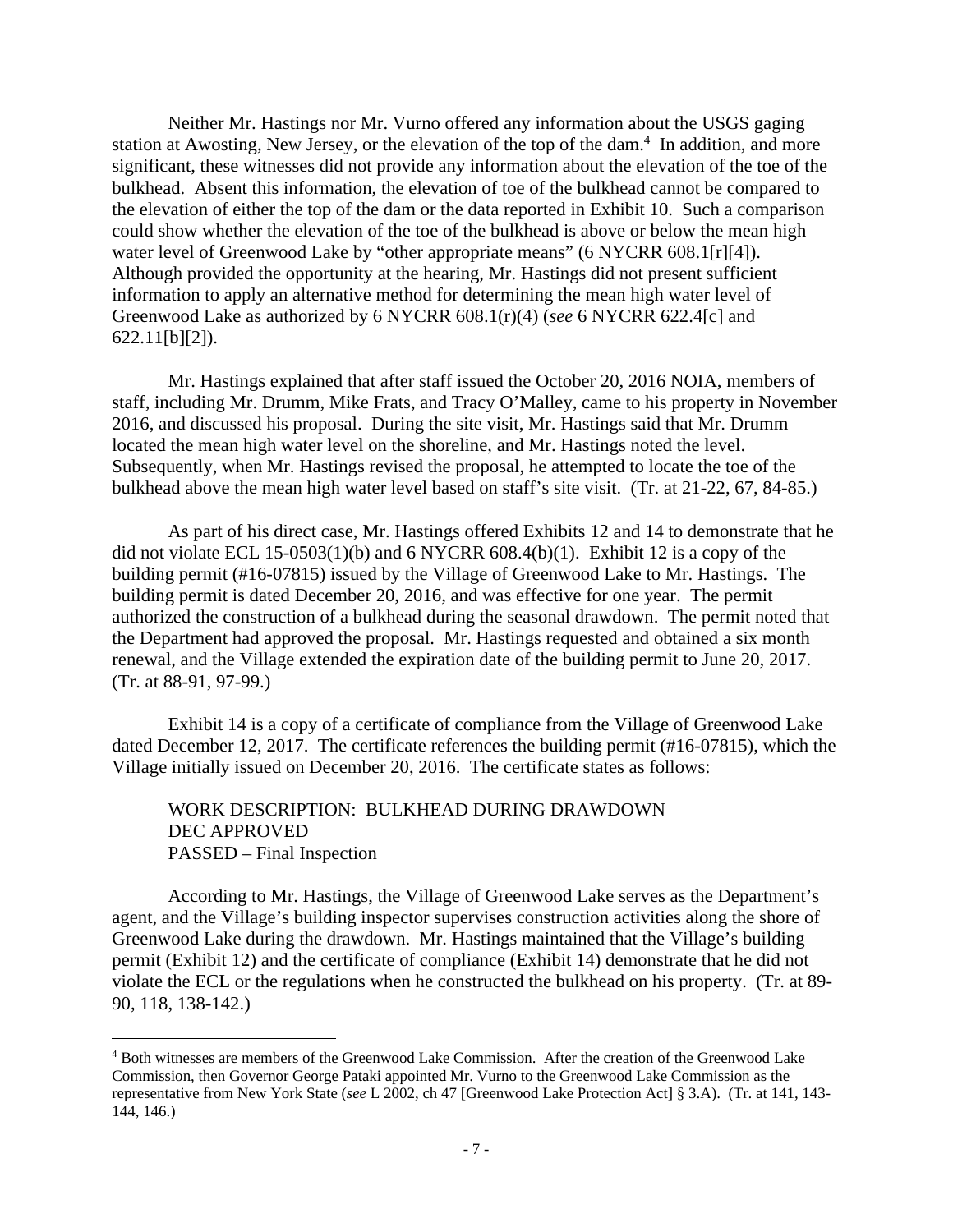Neither Mr. Hastings nor Mr. Vurno offered any information about the USGS gaging station at Awosting, New Jersey, or the elevation of the top of the dam.<sup>4</sup> In addition, and more significant, these witnesses did not provide any information about the elevation of the toe of the bulkhead. Absent this information, the elevation of toe of the bulkhead cannot be compared to the elevation of either the top of the dam or the data reported in Exhibit 10. Such a comparison could show whether the elevation of the toe of the bulkhead is above or below the mean high water level of Greenwood Lake by "other appropriate means" (6 NYCRR 608.1[r][4]). Although provided the opportunity at the hearing, Mr. Hastings did not present sufficient information to apply an alternative method for determining the mean high water level of Greenwood Lake as authorized by 6 NYCRR 608.1(r)(4) (*see* 6 NYCRR 622.4[c] and 622.11[b][2]).

 Mr. Hastings explained that after staff issued the October 20, 2016 NOIA, members of staff, including Mr. Drumm, Mike Frats, and Tracy O'Malley, came to his property in November 2016, and discussed his proposal. During the site visit, Mr. Hastings said that Mr. Drumm located the mean high water level on the shoreline, and Mr. Hastings noted the level. Subsequently, when Mr. Hastings revised the proposal, he attempted to locate the toe of the bulkhead above the mean high water level based on staff's site visit. (Tr. at 21-22, 67, 84-85.)

 As part of his direct case, Mr. Hastings offered Exhibits 12 and 14 to demonstrate that he did not violate ECL 15-0503(1)(b) and 6 NYCRR  $608.4(b)(1)$ . Exhibit 12 is a copy of the building permit (#16-07815) issued by the Village of Greenwood Lake to Mr. Hastings. The building permit is dated December 20, 2016, and was effective for one year. The permit authorized the construction of a bulkhead during the seasonal drawdown. The permit noted that the Department had approved the proposal. Mr. Hastings requested and obtained a six month renewal, and the Village extended the expiration date of the building permit to June 20, 2017. (Tr. at 88-91, 97-99.)

 Exhibit 14 is a copy of a certificate of compliance from the Village of Greenwood Lake dated December 12, 2017. The certificate references the building permit (#16-07815), which the Village initially issued on December 20, 2016. The certificate states as follows:

WORK DESCRIPTION: BULKHEAD DURING DRAWDOWN DEC APPROVED PASSED – Final Inspection

 According to Mr. Hastings, the Village of Greenwood Lake serves as the Department's agent, and the Village's building inspector supervises construction activities along the shore of Greenwood Lake during the drawdown. Mr. Hastings maintained that the Village's building permit (Exhibit 12) and the certificate of compliance (Exhibit 14) demonstrate that he did not violate the ECL or the regulations when he constructed the bulkhead on his property. (Tr. at 89- 90, 118, 138-142.)

<sup>4</sup> Both witnesses are members of the Greenwood Lake Commission. After the creation of the Greenwood Lake Commission, then Governor George Pataki appointed Mr. Vurno to the Greenwood Lake Commission as the representative from New York State (*see* L 2002, ch 47 [Greenwood Lake Protection Act] § 3.A). (Tr. at 141, 143- 144, 146.)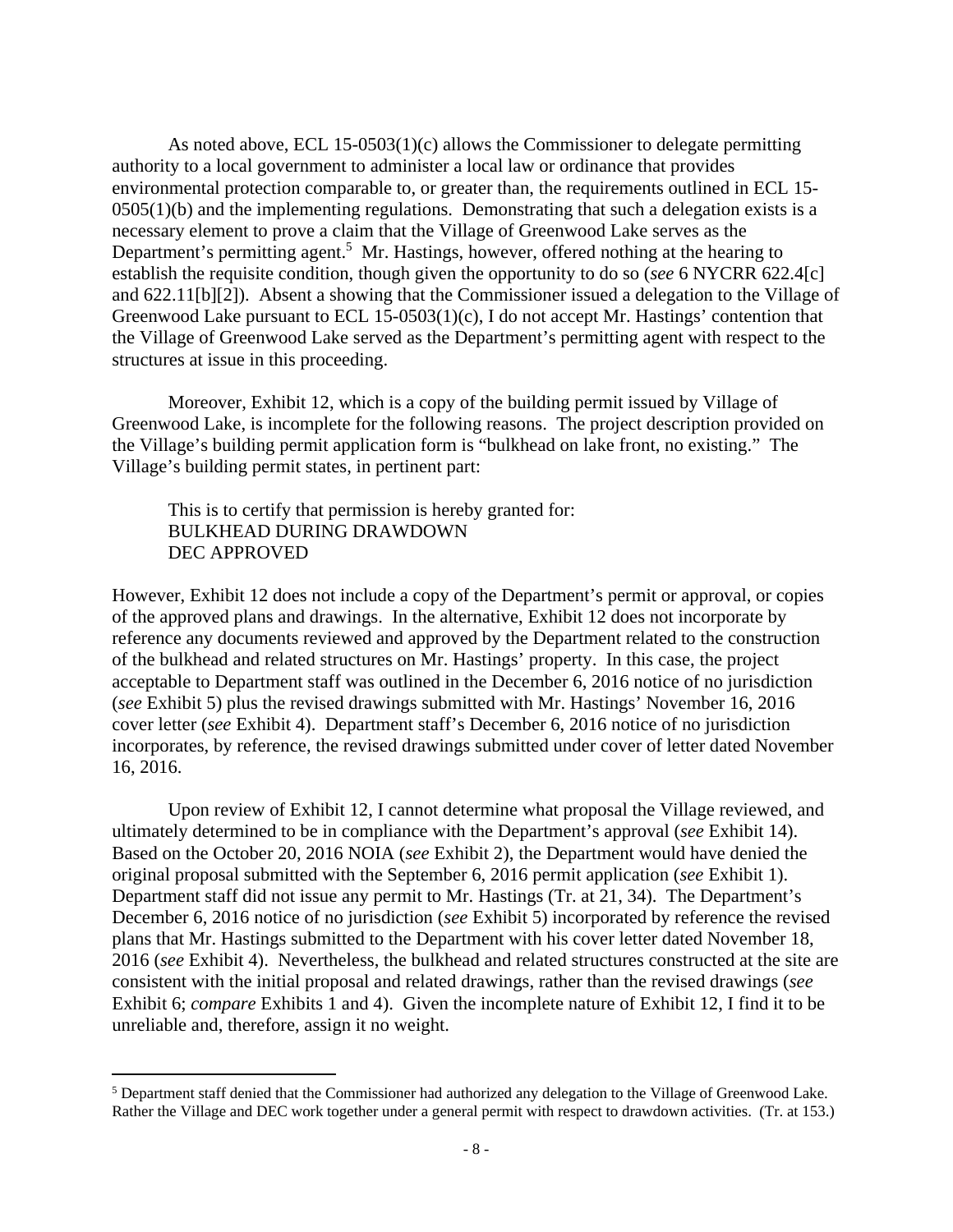As noted above, ECL 15-0503(1)(c) allows the Commissioner to delegate permitting authority to a local government to administer a local law or ordinance that provides environmental protection comparable to, or greater than, the requirements outlined in ECL 15-  $0.05(1)(b)$  and the implementing regulations. Demonstrating that such a delegation exists is a necessary element to prove a claim that the Village of Greenwood Lake serves as the Department's permitting agent.<sup>5</sup> Mr. Hastings, however, offered nothing at the hearing to establish the requisite condition, though given the opportunity to do so (*see* 6 NYCRR 622.4[c] and 622.11[b][2]). Absent a showing that the Commissioner issued a delegation to the Village of Greenwood Lake pursuant to ECL 15-0503(1)(c), I do not accept Mr. Hastings' contention that the Village of Greenwood Lake served as the Department's permitting agent with respect to the structures at issue in this proceeding.

 Moreover, Exhibit 12, which is a copy of the building permit issued by Village of Greenwood Lake, is incomplete for the following reasons. The project description provided on the Village's building permit application form is "bulkhead on lake front, no existing." The Village's building permit states, in pertinent part:

This is to certify that permission is hereby granted for: BULKHEAD DURING DRAWDOWN DEC APPROVED

However, Exhibit 12 does not include a copy of the Department's permit or approval, or copies of the approved plans and drawings. In the alternative, Exhibit 12 does not incorporate by reference any documents reviewed and approved by the Department related to the construction of the bulkhead and related structures on Mr. Hastings' property. In this case, the project acceptable to Department staff was outlined in the December 6, 2016 notice of no jurisdiction (*see* Exhibit 5) plus the revised drawings submitted with Mr. Hastings' November 16, 2016 cover letter (*see* Exhibit 4). Department staff's December 6, 2016 notice of no jurisdiction incorporates, by reference, the revised drawings submitted under cover of letter dated November 16, 2016.

 Upon review of Exhibit 12, I cannot determine what proposal the Village reviewed, and ultimately determined to be in compliance with the Department's approval (*see* Exhibit 14). Based on the October 20, 2016 NOIA (*see* Exhibit 2), the Department would have denied the original proposal submitted with the September 6, 2016 permit application (*see* Exhibit 1). Department staff did not issue any permit to Mr. Hastings (Tr. at 21, 34). The Department's December 6, 2016 notice of no jurisdiction (*see* Exhibit 5) incorporated by reference the revised plans that Mr. Hastings submitted to the Department with his cover letter dated November 18, 2016 (*see* Exhibit 4). Nevertheless, the bulkhead and related structures constructed at the site are consistent with the initial proposal and related drawings, rather than the revised drawings (*see* Exhibit 6; *compare* Exhibits 1 and 4). Given the incomplete nature of Exhibit 12, I find it to be unreliable and, therefore, assign it no weight.

<sup>&</sup>lt;sup>5</sup> Department staff denied that the Commissioner had authorized any delegation to the Village of Greenwood Lake. Rather the Village and DEC work together under a general permit with respect to drawdown activities. (Tr. at 153.)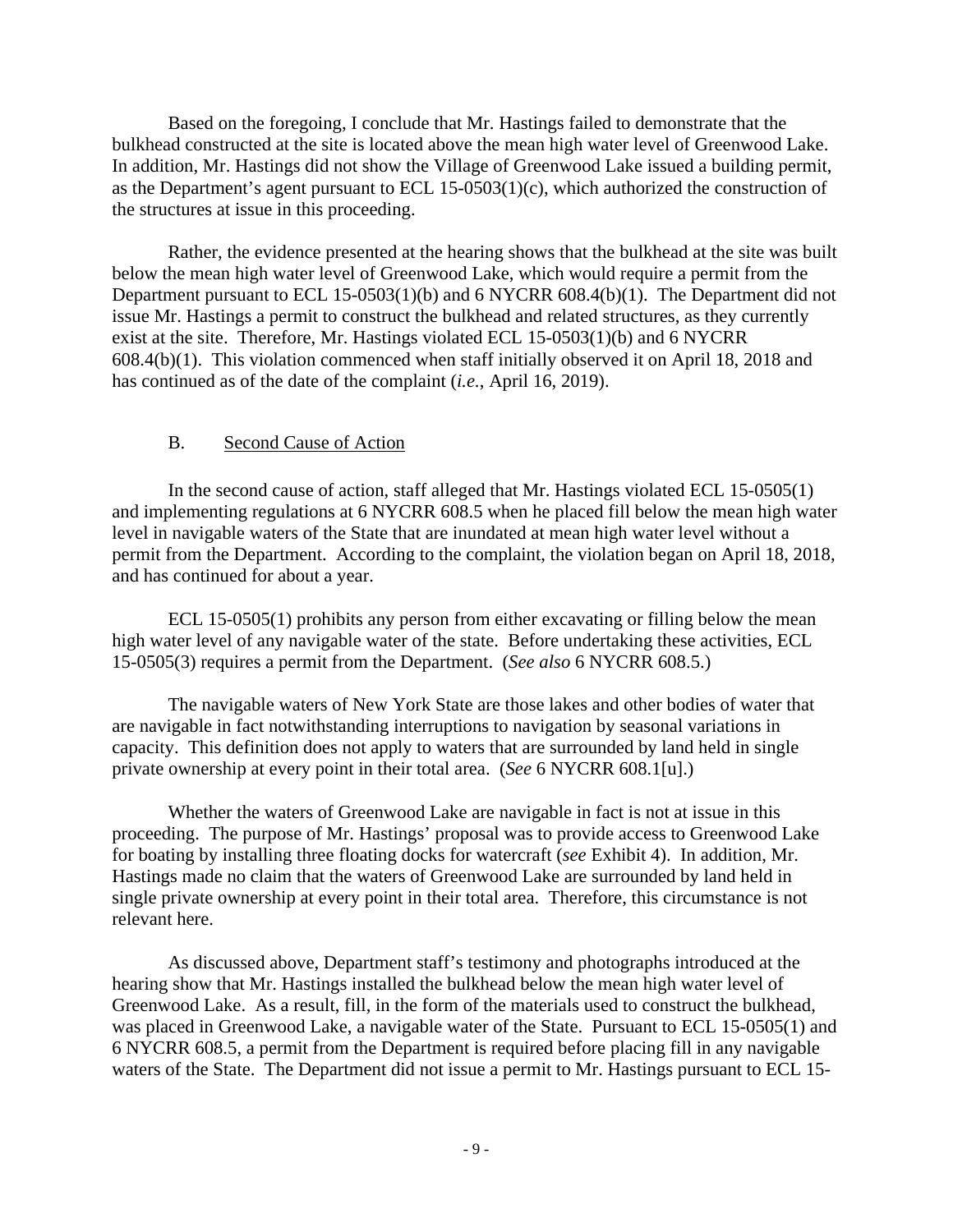Based on the foregoing, I conclude that Mr. Hastings failed to demonstrate that the bulkhead constructed at the site is located above the mean high water level of Greenwood Lake. In addition, Mr. Hastings did not show the Village of Greenwood Lake issued a building permit, as the Department's agent pursuant to ECL 15-0503(1)(c), which authorized the construction of the structures at issue in this proceeding.

 Rather, the evidence presented at the hearing shows that the bulkhead at the site was built below the mean high water level of Greenwood Lake, which would require a permit from the Department pursuant to ECL 15-0503(1)(b) and 6 NYCRR 608.4(b)(1). The Department did not issue Mr. Hastings a permit to construct the bulkhead and related structures, as they currently exist at the site. Therefore, Mr. Hastings violated ECL 15-0503(1)(b) and 6 NYCRR 608.4(b)(1). This violation commenced when staff initially observed it on April 18, 2018 and has continued as of the date of the complaint (*i.e.*, April 16, 2019).

# B. Second Cause of Action

 In the second cause of action, staff alleged that Mr. Hastings violated ECL 15-0505(1) and implementing regulations at 6 NYCRR 608.5 when he placed fill below the mean high water level in navigable waters of the State that are inundated at mean high water level without a permit from the Department. According to the complaint, the violation began on April 18, 2018, and has continued for about a year.

 ECL 15-0505(1) prohibits any person from either excavating or filling below the mean high water level of any navigable water of the state. Before undertaking these activities, ECL 15-0505(3) requires a permit from the Department. (*See also* 6 NYCRR 608.5.)

 The navigable waters of New York State are those lakes and other bodies of water that are navigable in fact notwithstanding interruptions to navigation by seasonal variations in capacity. This definition does not apply to waters that are surrounded by land held in single private ownership at every point in their total area. (*See* 6 NYCRR 608.1[u].)

 Whether the waters of Greenwood Lake are navigable in fact is not at issue in this proceeding. The purpose of Mr. Hastings' proposal was to provide access to Greenwood Lake for boating by installing three floating docks for watercraft (*see* Exhibit 4). In addition, Mr. Hastings made no claim that the waters of Greenwood Lake are surrounded by land held in single private ownership at every point in their total area. Therefore, this circumstance is not relevant here.

 As discussed above, Department staff's testimony and photographs introduced at the hearing show that Mr. Hastings installed the bulkhead below the mean high water level of Greenwood Lake. As a result, fill, in the form of the materials used to construct the bulkhead, was placed in Greenwood Lake, a navigable water of the State. Pursuant to ECL 15-0505(1) and 6 NYCRR 608.5, a permit from the Department is required before placing fill in any navigable waters of the State. The Department did not issue a permit to Mr. Hastings pursuant to ECL 15-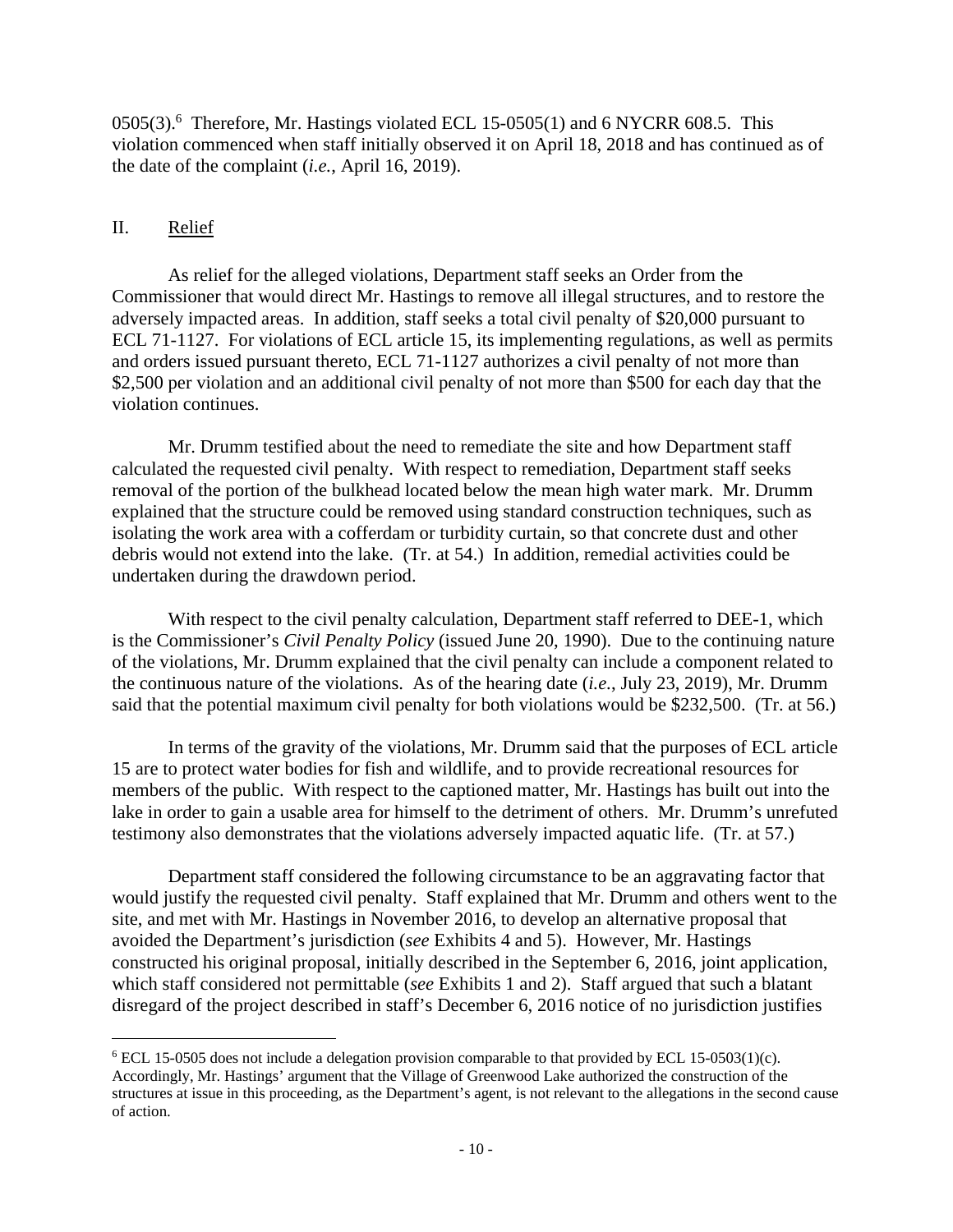$0505(3)$ .<sup>6</sup> Therefore, Mr. Hastings violated ECL 15-0505(1) and 6 NYCRR 608.5. This violation commenced when staff initially observed it on April 18, 2018 and has continued as of the date of the complaint (*i.e.*, April 16, 2019).

# II. Relief

 As relief for the alleged violations, Department staff seeks an Order from the Commissioner that would direct Mr. Hastings to remove all illegal structures, and to restore the adversely impacted areas. In addition, staff seeks a total civil penalty of \$20,000 pursuant to ECL 71-1127. For violations of ECL article 15, its implementing regulations, as well as permits and orders issued pursuant thereto, ECL 71-1127 authorizes a civil penalty of not more than \$2,500 per violation and an additional civil penalty of not more than \$500 for each day that the violation continues.

 Mr. Drumm testified about the need to remediate the site and how Department staff calculated the requested civil penalty. With respect to remediation, Department staff seeks removal of the portion of the bulkhead located below the mean high water mark. Mr. Drumm explained that the structure could be removed using standard construction techniques, such as isolating the work area with a cofferdam or turbidity curtain, so that concrete dust and other debris would not extend into the lake. (Tr. at 54.) In addition, remedial activities could be undertaken during the drawdown period.

With respect to the civil penalty calculation, Department staff referred to DEE-1, which is the Commissioner's *Civil Penalty Policy* (issued June 20, 1990). Due to the continuing nature of the violations, Mr. Drumm explained that the civil penalty can include a component related to the continuous nature of the violations. As of the hearing date (*i.e.*, July 23, 2019), Mr. Drumm said that the potential maximum civil penalty for both violations would be \$232,500. (Tr. at 56.)

 In terms of the gravity of the violations, Mr. Drumm said that the purposes of ECL article 15 are to protect water bodies for fish and wildlife, and to provide recreational resources for members of the public. With respect to the captioned matter, Mr. Hastings has built out into the lake in order to gain a usable area for himself to the detriment of others. Mr. Drumm's unrefuted testimony also demonstrates that the violations adversely impacted aquatic life. (Tr. at 57.)

 Department staff considered the following circumstance to be an aggravating factor that would justify the requested civil penalty. Staff explained that Mr. Drumm and others went to the site, and met with Mr. Hastings in November 2016, to develop an alternative proposal that avoided the Department's jurisdiction (*see* Exhibits 4 and 5). However, Mr. Hastings constructed his original proposal, initially described in the September 6, 2016, joint application, which staff considered not permittable (*see* Exhibits 1 and 2). Staff argued that such a blatant disregard of the project described in staff's December 6, 2016 notice of no jurisdiction justifies

 $6$  ECL 15-0505 does not include a delegation provision comparable to that provided by ECL 15-0503(1)(c). Accordingly, Mr. Hastings' argument that the Village of Greenwood Lake authorized the construction of the structures at issue in this proceeding, as the Department's agent, is not relevant to the allegations in the second cause of action.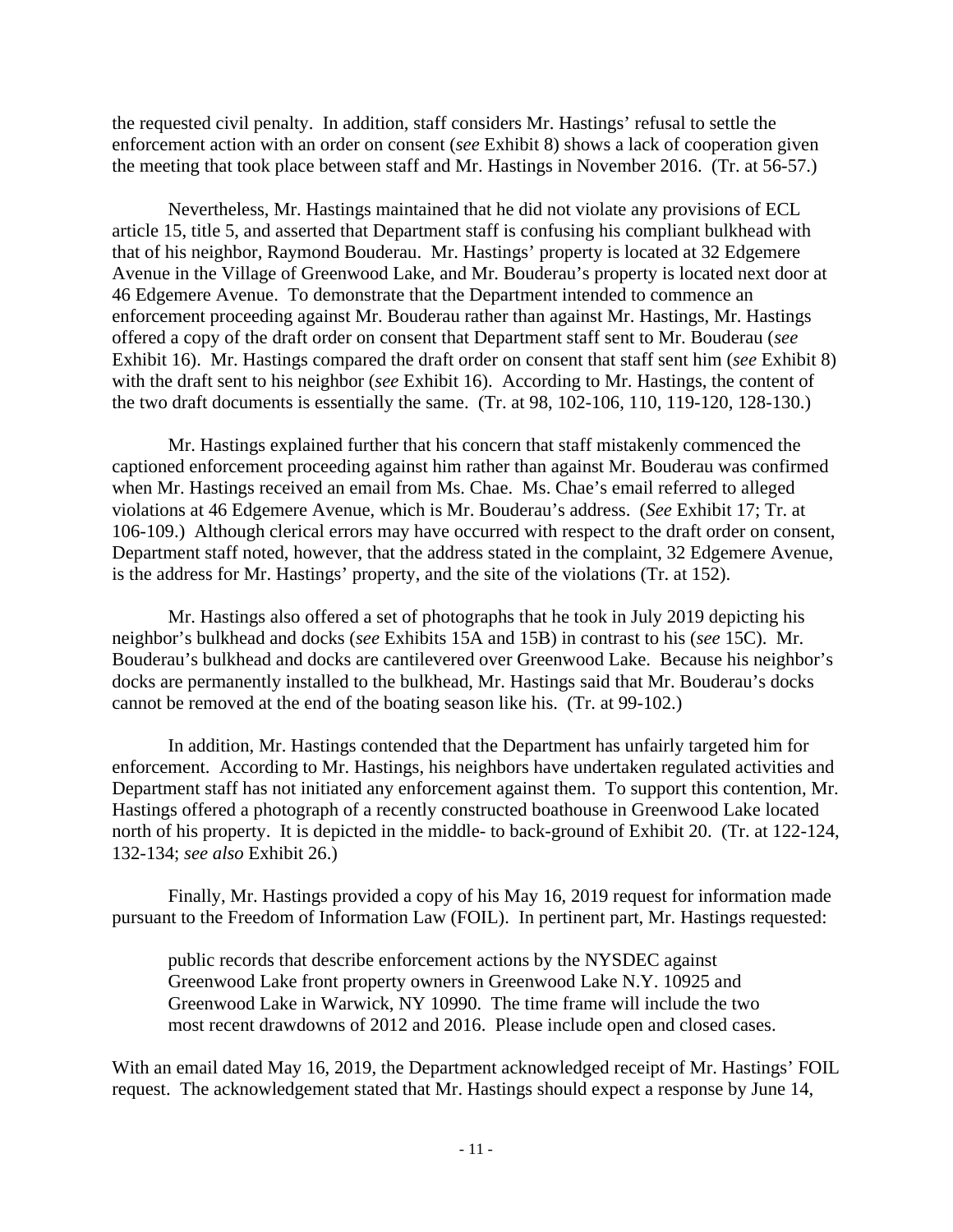the requested civil penalty. In addition, staff considers Mr. Hastings' refusal to settle the enforcement action with an order on consent (*see* Exhibit 8) shows a lack of cooperation given the meeting that took place between staff and Mr. Hastings in November 2016. (Tr. at 56-57.)

 Nevertheless, Mr. Hastings maintained that he did not violate any provisions of ECL article 15, title 5, and asserted that Department staff is confusing his compliant bulkhead with that of his neighbor, Raymond Bouderau. Mr. Hastings' property is located at 32 Edgemere Avenue in the Village of Greenwood Lake, and Mr. Bouderau's property is located next door at 46 Edgemere Avenue. To demonstrate that the Department intended to commence an enforcement proceeding against Mr. Bouderau rather than against Mr. Hastings, Mr. Hastings offered a copy of the draft order on consent that Department staff sent to Mr. Bouderau (*see* Exhibit 16). Mr. Hastings compared the draft order on consent that staff sent him (*see* Exhibit 8) with the draft sent to his neighbor (*see* Exhibit 16). According to Mr. Hastings, the content of the two draft documents is essentially the same. (Tr. at 98, 102-106, 110, 119-120, 128-130.)

 Mr. Hastings explained further that his concern that staff mistakenly commenced the captioned enforcement proceeding against him rather than against Mr. Bouderau was confirmed when Mr. Hastings received an email from Ms. Chae. Ms. Chae's email referred to alleged violations at 46 Edgemere Avenue, which is Mr. Bouderau's address. (*See* Exhibit 17; Tr. at 106-109.) Although clerical errors may have occurred with respect to the draft order on consent, Department staff noted, however, that the address stated in the complaint, 32 Edgemere Avenue, is the address for Mr. Hastings' property, and the site of the violations (Tr. at 152).

 Mr. Hastings also offered a set of photographs that he took in July 2019 depicting his neighbor's bulkhead and docks (*see* Exhibits 15A and 15B) in contrast to his (*see* 15C). Mr. Bouderau's bulkhead and docks are cantilevered over Greenwood Lake. Because his neighbor's docks are permanently installed to the bulkhead, Mr. Hastings said that Mr. Bouderau's docks cannot be removed at the end of the boating season like his. (Tr. at 99-102.)

 In addition, Mr. Hastings contended that the Department has unfairly targeted him for enforcement. According to Mr. Hastings, his neighbors have undertaken regulated activities and Department staff has not initiated any enforcement against them. To support this contention, Mr. Hastings offered a photograph of a recently constructed boathouse in Greenwood Lake located north of his property. It is depicted in the middle- to back-ground of Exhibit 20. (Tr. at 122-124, 132-134; *see also* Exhibit 26.)

 Finally, Mr. Hastings provided a copy of his May 16, 2019 request for information made pursuant to the Freedom of Information Law (FOIL). In pertinent part, Mr. Hastings requested:

public records that describe enforcement actions by the NYSDEC against Greenwood Lake front property owners in Greenwood Lake N.Y. 10925 and Greenwood Lake in Warwick, NY 10990. The time frame will include the two most recent drawdowns of 2012 and 2016. Please include open and closed cases.

With an email dated May 16, 2019, the Department acknowledged receipt of Mr. Hastings' FOIL request. The acknowledgement stated that Mr. Hastings should expect a response by June 14,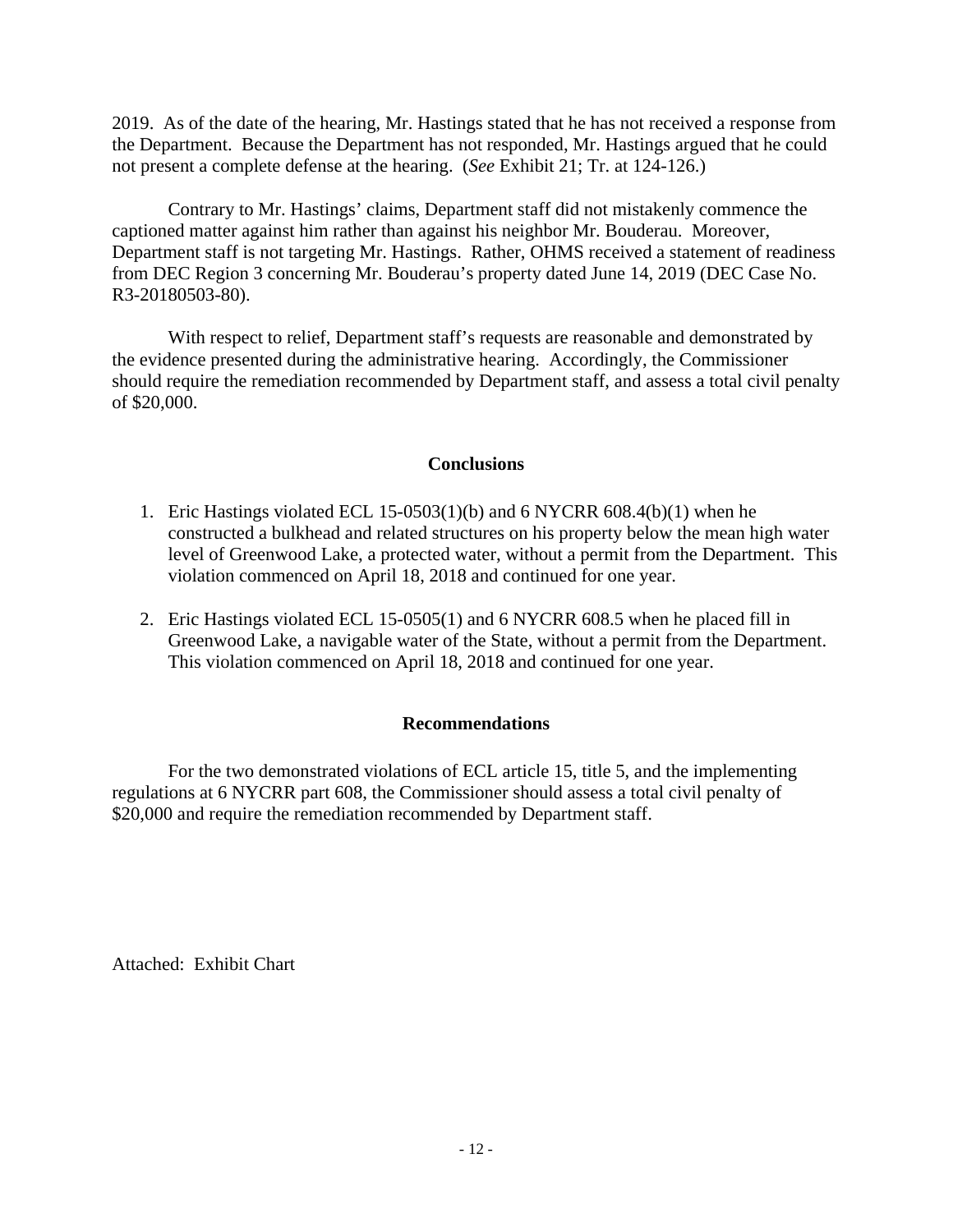2019. As of the date of the hearing, Mr. Hastings stated that he has not received a response from the Department. Because the Department has not responded, Mr. Hastings argued that he could not present a complete defense at the hearing. (*See* Exhibit 21; Tr. at 124-126.)

 Contrary to Mr. Hastings' claims, Department staff did not mistakenly commence the captioned matter against him rather than against his neighbor Mr. Bouderau. Moreover, Department staff is not targeting Mr. Hastings. Rather, OHMS received a statement of readiness from DEC Region 3 concerning Mr. Bouderau's property dated June 14, 2019 (DEC Case No. R3-20180503-80).

 With respect to relief, Department staff's requests are reasonable and demonstrated by the evidence presented during the administrative hearing. Accordingly, the Commissioner should require the remediation recommended by Department staff, and assess a total civil penalty of \$20,000.

### **Conclusions**

- 1. Eric Hastings violated ECL 15-0503(1)(b) and 6 NYCRR 608.4(b)(1) when he constructed a bulkhead and related structures on his property below the mean high water level of Greenwood Lake, a protected water, without a permit from the Department. This violation commenced on April 18, 2018 and continued for one year.
- 2. Eric Hastings violated ECL 15-0505(1) and 6 NYCRR 608.5 when he placed fill in Greenwood Lake, a navigable water of the State, without a permit from the Department. This violation commenced on April 18, 2018 and continued for one year.

# **Recommendations**

 For the two demonstrated violations of ECL article 15, title 5, and the implementing regulations at 6 NYCRR part 608, the Commissioner should assess a total civil penalty of \$20,000 and require the remediation recommended by Department staff.

Attached: Exhibit Chart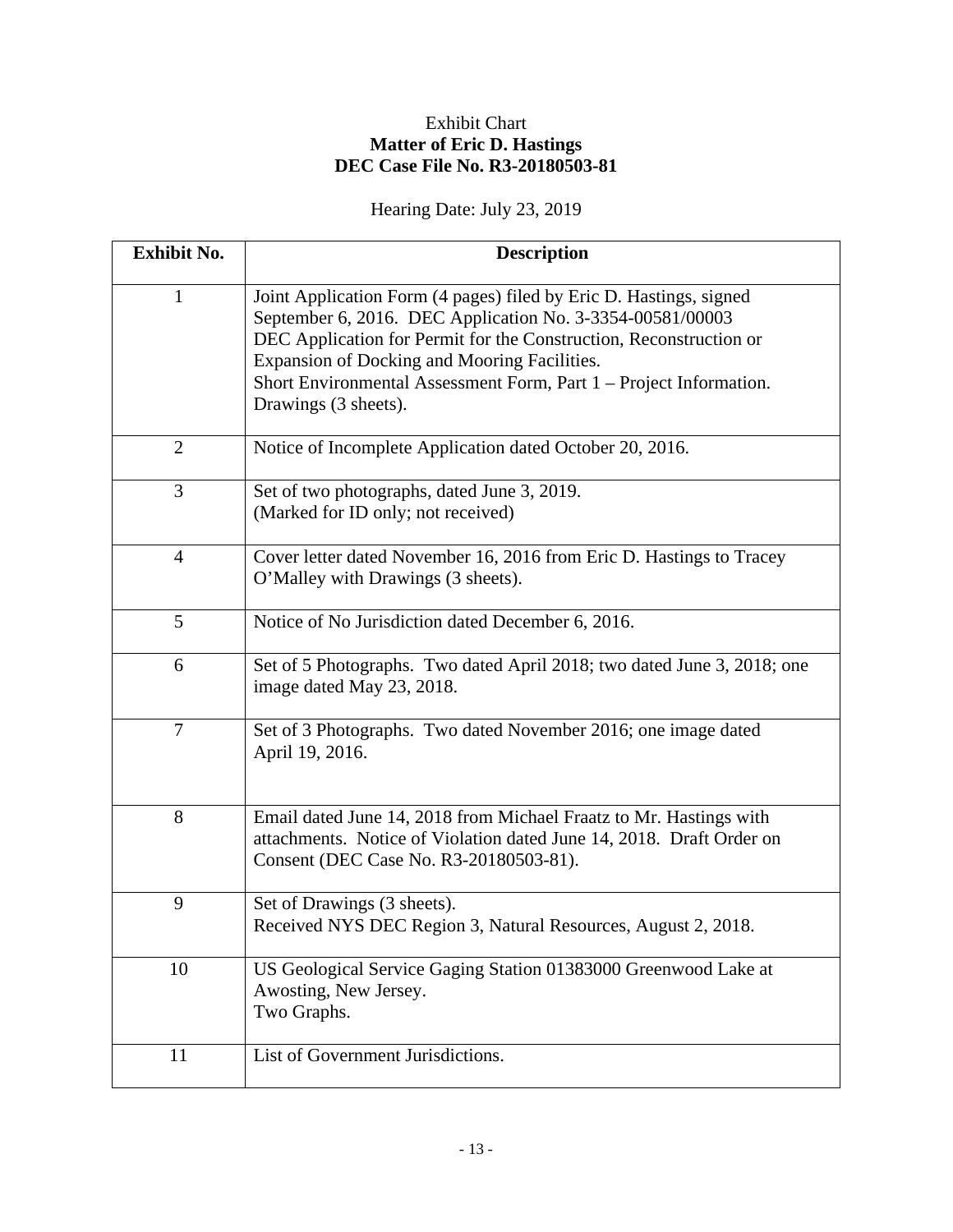# Exhibit Chart **Matter of Eric D. Hastings DEC Case File No. R3-20180503-81**

# Hearing Date: July 23, 2019

| <b>Exhibit No.</b> | <b>Description</b>                                                                                                                                                                                                                                                                                                                                  |
|--------------------|-----------------------------------------------------------------------------------------------------------------------------------------------------------------------------------------------------------------------------------------------------------------------------------------------------------------------------------------------------|
| $\mathbf{1}$       | Joint Application Form (4 pages) filed by Eric D. Hastings, signed<br>September 6, 2016. DEC Application No. 3-3354-00581/00003<br>DEC Application for Permit for the Construction, Reconstruction or<br>Expansion of Docking and Mooring Facilities.<br>Short Environmental Assessment Form, Part 1 – Project Information.<br>Drawings (3 sheets). |
| $\overline{2}$     | Notice of Incomplete Application dated October 20, 2016.                                                                                                                                                                                                                                                                                            |
| 3                  | Set of two photographs, dated June 3, 2019.<br>(Marked for ID only; not received)                                                                                                                                                                                                                                                                   |
| $\overline{4}$     | Cover letter dated November 16, 2016 from Eric D. Hastings to Tracey<br>O'Malley with Drawings (3 sheets).                                                                                                                                                                                                                                          |
| 5                  | Notice of No Jurisdiction dated December 6, 2016.                                                                                                                                                                                                                                                                                                   |
| 6                  | Set of 5 Photographs. Two dated April 2018; two dated June 3, 2018; one<br>image dated May 23, 2018.                                                                                                                                                                                                                                                |
| $\overline{7}$     | Set of 3 Photographs. Two dated November 2016; one image dated<br>April 19, 2016.                                                                                                                                                                                                                                                                   |
| 8                  | Email dated June 14, 2018 from Michael Fraatz to Mr. Hastings with<br>attachments. Notice of Violation dated June 14, 2018. Draft Order on<br>Consent (DEC Case No. R3-20180503-81).                                                                                                                                                                |
| 9                  | Set of Drawings (3 sheets).<br>Received NYS DEC Region 3, Natural Resources, August 2, 2018.                                                                                                                                                                                                                                                        |
| 10                 | US Geological Service Gaging Station 01383000 Greenwood Lake at<br>Awosting, New Jersey.<br>Two Graphs.                                                                                                                                                                                                                                             |
| 11                 | List of Government Jurisdictions.                                                                                                                                                                                                                                                                                                                   |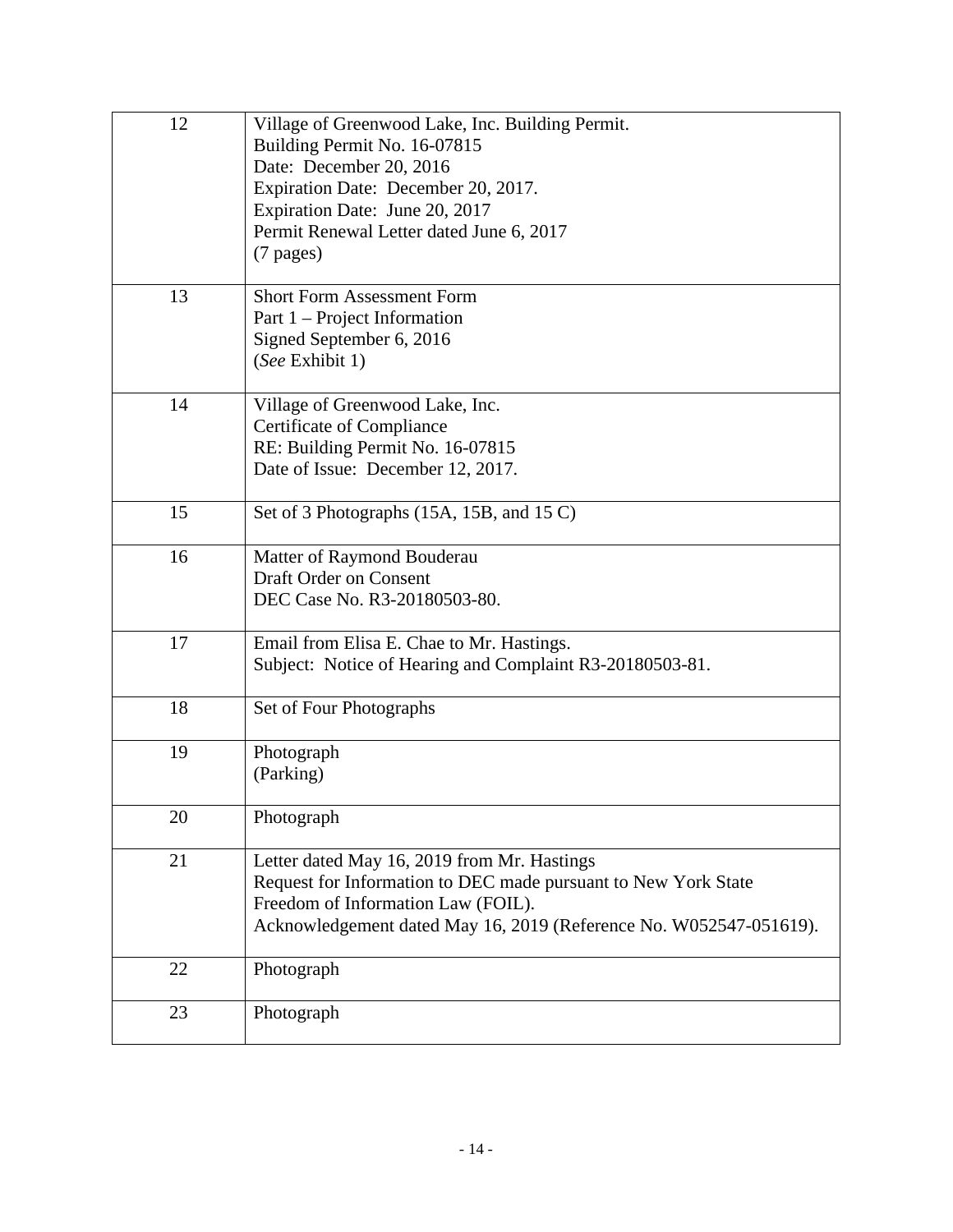| 12 | Village of Greenwood Lake, Inc. Building Permit.                   |
|----|--------------------------------------------------------------------|
|    | Building Permit No. 16-07815                                       |
|    | Date: December 20, 2016                                            |
|    | Expiration Date: December 20, 2017.                                |
|    | Expiration Date: June 20, 2017                                     |
|    | Permit Renewal Letter dated June 6, 2017                           |
|    | $(7$ pages)                                                        |
| 13 | <b>Short Form Assessment Form</b>                                  |
|    | Part 1 – Project Information                                       |
|    | Signed September 6, 2016                                           |
|    | (See Exhibit 1)                                                    |
| 14 | Village of Greenwood Lake, Inc.                                    |
|    | <b>Certificate of Compliance</b>                                   |
|    | RE: Building Permit No. 16-07815                                   |
|    | Date of Issue: December 12, 2017.                                  |
| 15 | Set of 3 Photographs (15A, 15B, and 15 C)                          |
| 16 | Matter of Raymond Bouderau                                         |
|    | <b>Draft Order on Consent</b>                                      |
|    | DEC Case No. R3-20180503-80.                                       |
| 17 | Email from Elisa E. Chae to Mr. Hastings.                          |
|    | Subject: Notice of Hearing and Complaint R3-20180503-81.           |
| 18 | Set of Four Photographs                                            |
| 19 | Photograph                                                         |
|    | (Parking)                                                          |
| 20 | Photograph                                                         |
| 21 | Letter dated May 16, 2019 from Mr. Hastings                        |
|    | Request for Information to DEC made pursuant to New York State     |
|    | Freedom of Information Law (FOIL).                                 |
|    | Acknowledgement dated May 16, 2019 (Reference No. W052547-051619). |
| 22 | Photograph                                                         |
| 23 | Photograph                                                         |
|    |                                                                    |